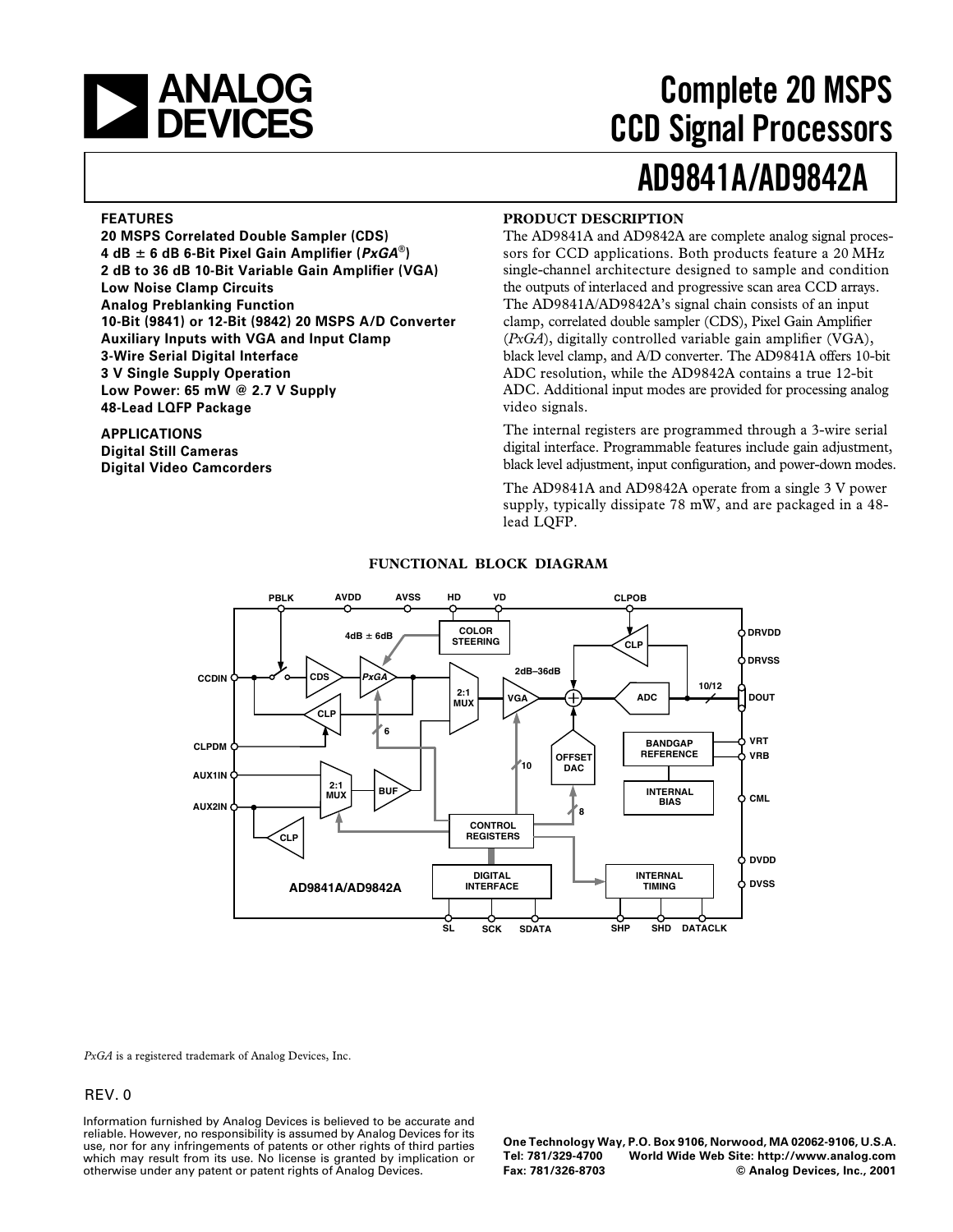

# **AD9841A/AD9842A Complete 20 MSPS CCD Signal Processors**

### **FEATURES**

**20 MSPS Correlated Double Sampler (CDS) 4 dB**  $\pm$  **6 dB 6-Bit Pixel Gain Amplifier (** $P \times GA^{\circledcirc}$ **) 2 dB to 36 dB 10-Bit Variable Gain Amplifier (VGA) Low Noise Clamp Circuits Analog Preblanking Function 10-Bit (9841) or 12-Bit (9842) 20 MSPS A/D Converter Auxiliary Inputs with VGA and Input Clamp 3-Wire Serial Digital Interface 3 V Single Supply Operation Low Power: 65 mW @ 2.7 V Supply 48-Lead LQFP Package**

### **APPLICATIONS Digital Still Cameras Digital Video Camcorders**

### **PRODUCT DESCRIPTION**

The AD9841A and AD9842A are complete analog signal processors for CCD applications. Both products feature a 20 MHz single-channel architecture designed to sample and condition the outputs of interlaced and progressive scan area CCD arrays. The AD9841A/AD9842A's signal chain consists of an input clamp, correlated double sampler (CDS), Pixel Gain Amplifier (*PxGA*), digitally controlled variable gain amplifier (VGA), black level clamp, and A/D converter. The AD9841A offers 10-bit ADC resolution, while the AD9842A contains a true 12-bit ADC. Additional input modes are provided for processing analog video signals.

The internal registers are programmed through a 3-wire serial digital interface. Programmable features include gain adjustment, black level adjustment, input configuration, and power-down modes.

The AD9841A and AD9842A operate from a single 3 V power supply, typically dissipate 78 mW, and are packaged in a 48 lead LQFP.



### **FUNCTIONAL BLOCK DIAGRAM**

*PxGA* is a registered trademark of Analog Devices, Inc.

#### REV. 0

Information furnished by Analog Devices is believed to be accurate and reliable. However, no responsibility is assumed by Analog Devices for its use, nor for any infringements of patents or other rights of third parties which may result from its use. No license is granted by implication or otherwise under any patent or patent rights of Analog Devices.

**One Technology Way, P.O. Box 9106, Norwood, MA 02062-9106, U.S.A. Tel: 781/329-4700 World Wide Web Site: http://www.analog.com Fax: 781/326-8703 © Analog Devices, Inc., 2001**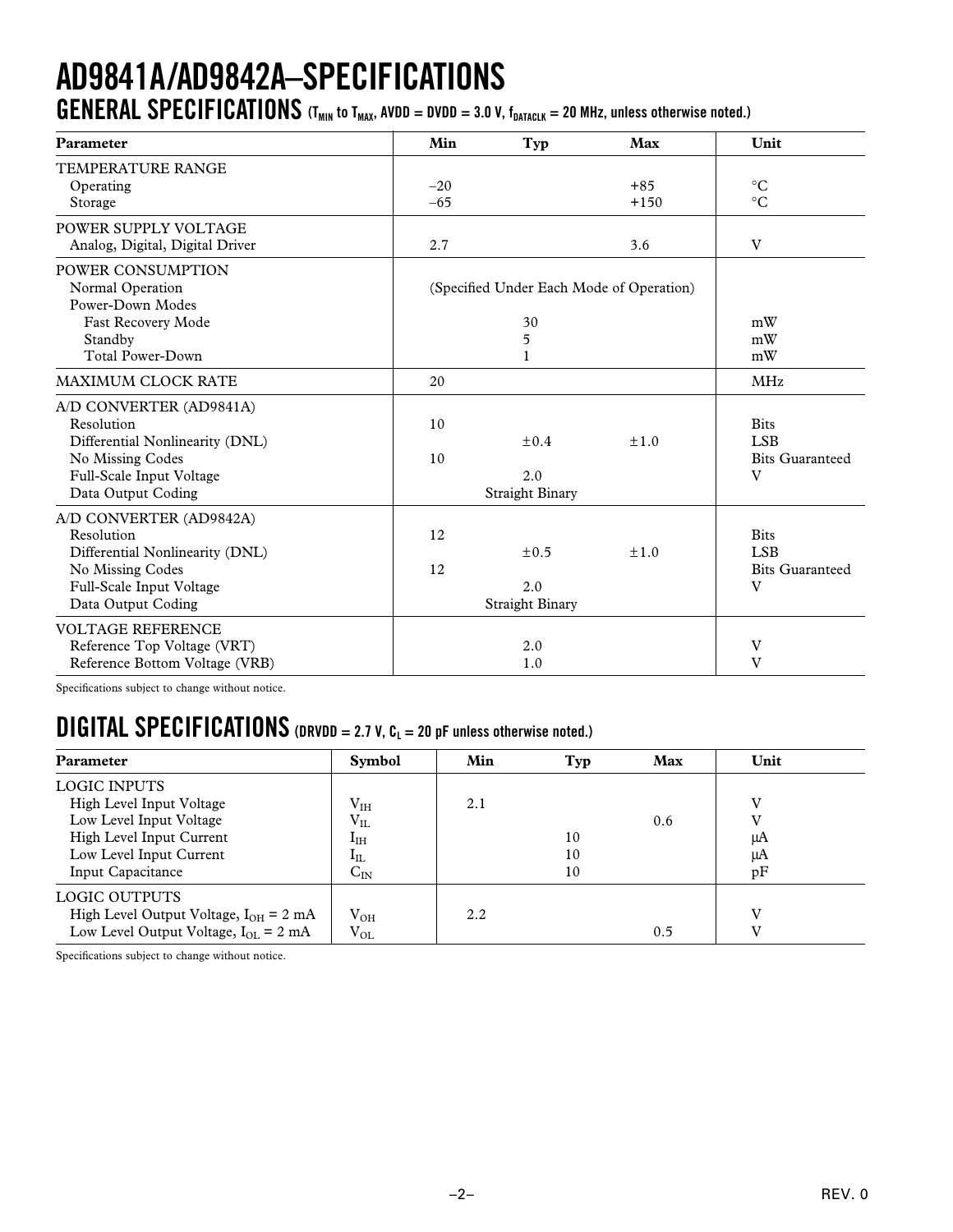# **AD9841A/AD9842A–SPECIFICATIONS**

**GENERAL SPECIFICATIONS** (T<sub>MIN</sub> to T<sub>MAX</sub>, AVDD = DVDD = 3.0 V,  $f_{DATACLK}$  = 20 MHz, unless otherwise noted.)

| Parameter                       | Min   | Typ                    | Max                                      | Unit                   |
|---------------------------------|-------|------------------------|------------------------------------------|------------------------|
| TEMPERATURE RANGE               |       |                        |                                          |                        |
| Operating                       | $-20$ |                        | $+85$                                    | $\rm ^{\circ}C$        |
| Storage                         | $-65$ |                        | $+150$                                   | $\rm ^{\circ}C$        |
| POWER SUPPLY VOLTAGE            |       |                        |                                          |                        |
| Analog, Digital, Digital Driver | 2.7   |                        | 3.6                                      | V                      |
| POWER CONSUMPTION               |       |                        |                                          |                        |
| Normal Operation                |       |                        | (Specified Under Each Mode of Operation) |                        |
| Power-Down Modes                |       |                        |                                          |                        |
| Fast Recovery Mode              |       | 30                     |                                          | mW                     |
| Standby                         |       | 5                      |                                          | mW                     |
| <b>Total Power-Down</b>         |       |                        |                                          | mW                     |
| <b>MAXIMUM CLOCK RATE</b>       | 20    |                        |                                          | <b>MHz</b>             |
| A/D CONVERTER (AD9841A)         |       |                        |                                          |                        |
| Resolution                      | 10    |                        |                                          | <b>Bits</b>            |
| Differential Nonlinearity (DNL) |       | $\pm 0.4$              | ±1.0                                     | <b>LSB</b>             |
| No Missing Codes                | 10    |                        |                                          | <b>Bits Guaranteed</b> |
| Full-Scale Input Voltage        |       | 2.0                    |                                          | V                      |
| Data Output Coding              |       | <b>Straight Binary</b> |                                          |                        |
| A/D CONVERTER (AD9842A)         |       |                        |                                          |                        |
| Resolution                      | 12    |                        |                                          | <b>Bits</b>            |
| Differential Nonlinearity (DNL) |       | $\pm 0.5$              | ±1.0                                     | <b>LSB</b>             |
| No Missing Codes                | 12    |                        |                                          | <b>Bits Guaranteed</b> |
| Full-Scale Input Voltage        |       | 2.0                    |                                          | V                      |
| Data Output Coding              |       | <b>Straight Binary</b> |                                          |                        |
| <b>VOLTAGE REFERENCE</b>        |       |                        |                                          |                        |
| Reference Top Voltage (VRT)     |       | 2.0                    |                                          | V                      |
| Reference Bottom Voltage (VRB)  |       | 1.0                    |                                          | V                      |

Specifications subject to change without notice.

### $\textbf{DIGITAL SPECIFICATIONS}$  (DRVDD = 2.7 V,  $\textbf{C}_L = 20$  pF unless otherwise noted.)

| <b>Parameter</b>                                         | <b>Symbol</b> | Min | Typ | Max | Unit |
|----------------------------------------------------------|---------------|-----|-----|-----|------|
| <b>LOGIC INPUTS</b>                                      |               |     |     |     |      |
| High Level Input Voltage                                 | $\rm V_{IH}$  | 2.1 |     |     | v    |
| Low Level Input Voltage                                  | $V_{IL}$      |     |     | 0.6 |      |
| High Level Input Current                                 | $I_{\rm IH}$  |     | 10  |     | μA   |
| Low Level Input Current                                  | $I_{IL}$      |     | 10  |     | μA   |
| Input Capacitance                                        | $C_{IN}$      |     | 10  |     | pF   |
| LOGIC OUTPUTS                                            |               |     |     |     |      |
| High Level Output Voltage, $I_{OH} = 2 \text{ mA}$       | $V_{OH}$      | 2.2 |     |     | V    |
| Low Level Output Voltage, $I_{\text{OL}} = 2 \text{ mA}$ | $V_{OL}$      |     |     | 0.5 |      |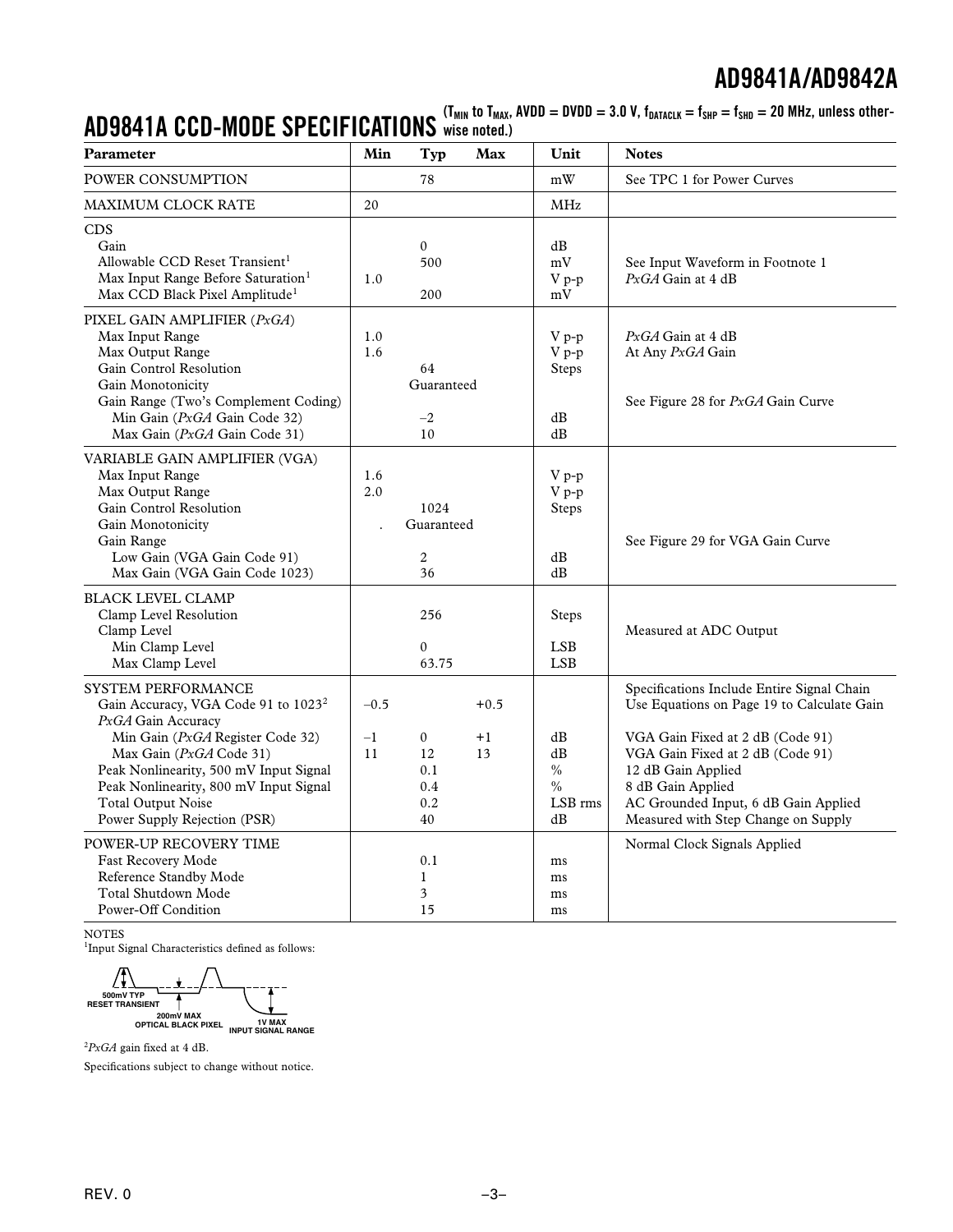$\mathbf{AD9841A\text{ }CCD\text{-}MODE \text{ }SPECIFICATIONS$  wise noted.)<br> $\mathbf{AD9841A\text{ }CCD\text{-}MODE \text{ }SPECIFICATIONS$  wise noted.)

| Parameter                                                                                                                                                                                                                                                                                                   | Min<br>Typ<br>Max                                                                  | Unit                                      | <b>Notes</b>                                                                                                                                                                                                                                                                               |
|-------------------------------------------------------------------------------------------------------------------------------------------------------------------------------------------------------------------------------------------------------------------------------------------------------------|------------------------------------------------------------------------------------|-------------------------------------------|--------------------------------------------------------------------------------------------------------------------------------------------------------------------------------------------------------------------------------------------------------------------------------------------|
| POWER CONSUMPTION                                                                                                                                                                                                                                                                                           | 78                                                                                 | mW                                        | See TPC 1 for Power Curves                                                                                                                                                                                                                                                                 |
| MAXIMUM CLOCK RATE                                                                                                                                                                                                                                                                                          | 20                                                                                 | $\mathbf{MHz}$                            |                                                                                                                                                                                                                                                                                            |
| <b>CDS</b><br>Gain<br>Allowable CCD Reset Transient <sup>1</sup><br>Max Input Range Before Saturation <sup>1</sup><br>Max CCD Black Pixel Amplitude <sup>1</sup>                                                                                                                                            | $\boldsymbol{0}$<br>500<br>1.0<br>200                                              | dB<br>mV<br>V p-p<br>mV                   | See Input Waveform in Footnote 1<br>PxGA Gain at 4 dB                                                                                                                                                                                                                                      |
| PIXEL GAIN AMPLIFIER (PxGA)<br>Max Input Range<br>Max Output Range<br>Gain Control Resolution<br>Gain Monotonicity<br>Gain Range (Two's Complement Coding)<br>Min Gain (PxGA Gain Code 32)<br>Max Gain (PxGA Gain Code 31)                                                                                  | 1.0<br>1.6<br>64<br>Guaranteed<br>$-2$<br>10                                       | $V_{p-p}$<br>$V p-p$<br>Steps<br>dB<br>dB | $PxGA$ Gain at 4 dB<br>At Any PxGA Gain<br>See Figure 28 for PxGA Gain Curve                                                                                                                                                                                                               |
| VARIABLE GAIN AMPLIFIER (VGA)<br>Max Input Range<br>Max Output Range<br>Gain Control Resolution<br>Gain Monotonicity<br>Gain Range<br>Low Gain (VGA Gain Code 91)<br>Max Gain (VGA Gain Code 1023)                                                                                                          | 1.6<br>2.0<br>1024<br>Guaranteed<br>$\overline{c}$<br>36                           | V p-p<br>V p-p<br>Steps<br>dB<br>dB       | See Figure 29 for VGA Gain Curve                                                                                                                                                                                                                                                           |
| <b>BLACK LEVEL CLAMP</b><br>Clamp Level Resolution<br>Clamp Level<br>Min Clamp Level<br>Max Clamp Level                                                                                                                                                                                                     | 256<br>$\mathbf{0}$<br>63.75                                                       | Steps<br><b>LSB</b><br><b>LSB</b>         | Measured at ADC Output                                                                                                                                                                                                                                                                     |
| SYSTEM PERFORMANCE<br>Gain Accuracy, VGA Code 91 to 1023 <sup>2</sup><br>PxGA Gain Accuracy<br>Min Gain (PxGA Register Code 32)<br>Max Gain (PxGA Code 31)<br>Peak Nonlinearity, 500 mV Input Signal<br>Peak Nonlinearity, 800 mV Input Signal<br><b>Total Output Noise</b><br>Power Supply Rejection (PSR) | $-0.5$<br>$+0.5$<br>$-1$<br>0<br>$+1$<br>11<br>12<br>13<br>0.1<br>0.4<br>0.2<br>40 | dB<br>dB<br>$\%$<br>$\%$<br>LSB rms<br>dB | Specifications Include Entire Signal Chain<br>Use Equations on Page 19 to Calculate Gain<br>VGA Gain Fixed at 2 dB (Code 91)<br>VGA Gain Fixed at 2 dB (Code 91)<br>12 dB Gain Applied<br>8 dB Gain Applied<br>AC Grounded Input, 6 dB Gain Applied<br>Measured with Step Change on Supply |
| POWER-UP RECOVERY TIME<br>Fast Recovery Mode<br>Reference Standby Mode<br>Total Shutdown Mode<br>Power-Off Condition                                                                                                                                                                                        | 0.1<br>$\mathbf{1}$<br>3<br>15                                                     | ms<br>ms<br>ms<br>ms                      | Normal Clock Signals Applied                                                                                                                                                                                                                                                               |

NOTES

<sup>1</sup>Input Signal Characteristics defined as follows:

Л **500mV TYP RESET TRANSIENT 200mV MAX OPTICAL BLACK PIXEL 1V MAX INPUT SIGNAL RANGE**

2 *PxGA* gain fixed at 4 dB.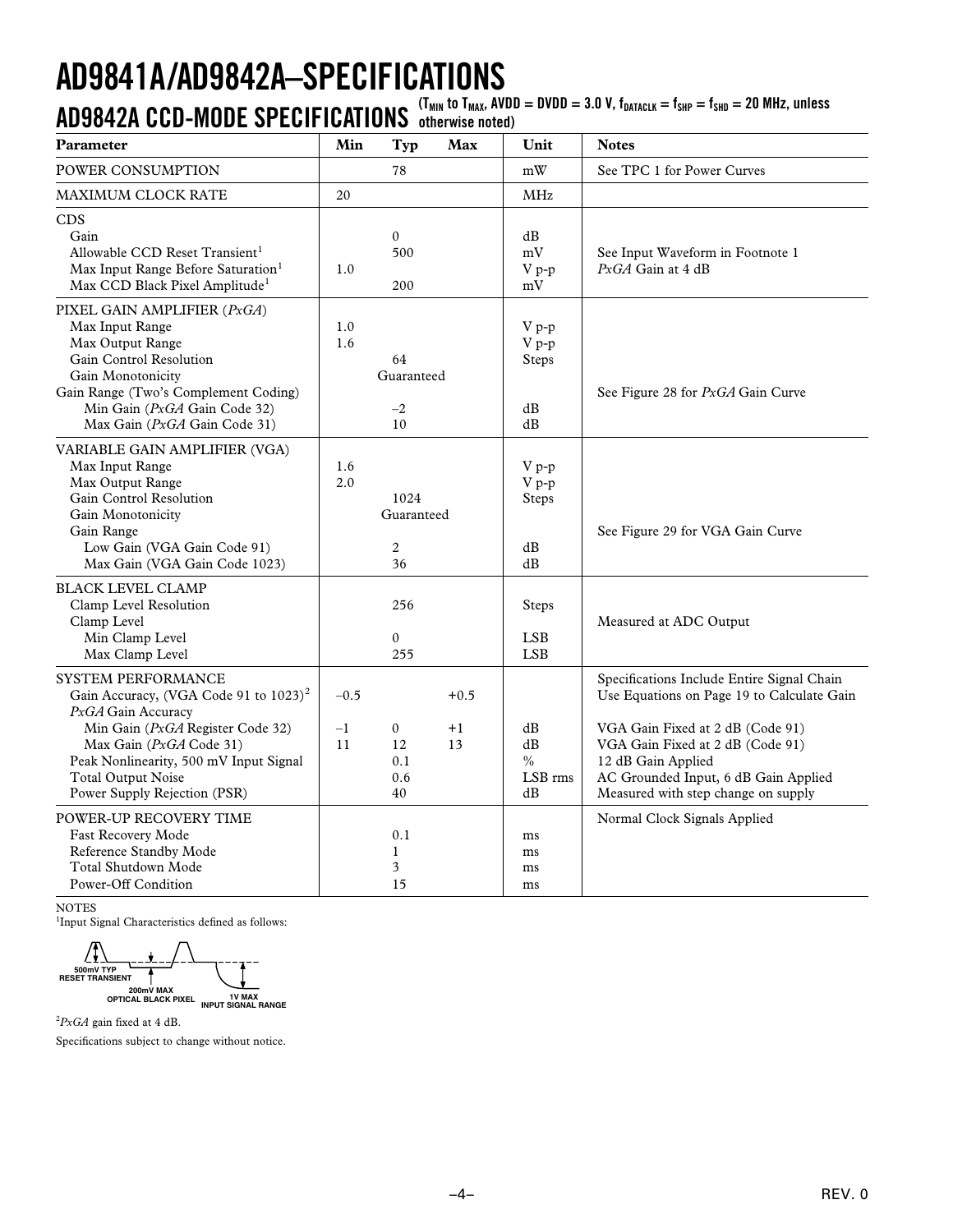# **AD9841A/AD9842A–SPECIFICATIONS**

**AD9842A CCD-MODE SPECIFICATIONS** (T<sub>MIN</sub> to T<sub>MAX</sub>, AVDD = DVDD = 3.0 V, f<sub>DATACLK</sub> = f<sub>SHD</sub> = f<sub>SHD</sub> = 20 MHz, unless

| Parameter                                                                                                                                                                                                                                                                  | Min                  | Typ                                        | Max                  | Unit                                       | <b>Notes</b>                                                                                                                                                                                                                                                          |
|----------------------------------------------------------------------------------------------------------------------------------------------------------------------------------------------------------------------------------------------------------------------------|----------------------|--------------------------------------------|----------------------|--------------------------------------------|-----------------------------------------------------------------------------------------------------------------------------------------------------------------------------------------------------------------------------------------------------------------------|
| <b>POWER CONSUMPTION</b>                                                                                                                                                                                                                                                   |                      | 78                                         |                      | mW                                         | See TPC 1 for Power Curves                                                                                                                                                                                                                                            |
| <b>MAXIMUM CLOCK RATE</b>                                                                                                                                                                                                                                                  | 20                   |                                            |                      | <b>MHz</b>                                 |                                                                                                                                                                                                                                                                       |
| <b>CDS</b><br>Gain<br>Allowable CCD Reset Transient <sup>1</sup><br>Max Input Range Before Saturation <sup>1</sup><br>Max CCD Black Pixel Amplitude <sup>1</sup>                                                                                                           | 1.0                  | $\boldsymbol{0}$<br>500<br>200             |                      | dB<br>$\rm mV$<br>V p-p<br>mV              | See Input Waveform in Footnote 1<br>$PxGA$ Gain at 4 dB                                                                                                                                                                                                               |
| PIXEL GAIN AMPLIFIER (PxGA)<br>Max Input Range<br>Max Output Range<br>Gain Control Resolution<br>Gain Monotonicity<br>Gain Range (Two's Complement Coding)<br>Min Gain (PxGA Gain Code 32)<br>Max Gain (PxGA Gain Code 31)                                                 | 1.0<br>1.6           | 64<br>Guaranteed<br>$-2$<br>10             |                      | V p-p<br>V p-p<br>Steps<br>dB<br>dB        | See Figure 28 for PxGA Gain Curve                                                                                                                                                                                                                                     |
| VARIABLE GAIN AMPLIFIER (VGA)<br>Max Input Range<br>Max Output Range<br>Gain Control Resolution<br>Gain Monotonicity<br>Gain Range<br>Low Gain (VGA Gain Code 91)<br>Max Gain (VGA Gain Code 1023)                                                                         | 1.6<br>2.0           | 1024<br>Guaranteed<br>$\overline{2}$<br>36 |                      | $V_{p-p}$<br>V p-p<br>Steps<br>dB<br>dB    | See Figure 29 for VGA Gain Curve                                                                                                                                                                                                                                      |
| <b>BLACK LEVEL CLAMP</b><br>Clamp Level Resolution<br>Clamp Level<br>Min Clamp Level<br>Max Clamp Level                                                                                                                                                                    |                      | 256<br>$\overline{0}$<br>255               |                      | Steps<br><b>LSB</b><br><b>LSB</b>          | Measured at ADC Output                                                                                                                                                                                                                                                |
| <b>SYSTEM PERFORMANCE</b><br>Gain Accuracy, (VGA Code 91 to 1023) <sup>2</sup><br>PxGA Gain Accuracy<br>Min Gain (PxGA Register Code 32)<br>Max Gain (PxGA Code 31)<br>Peak Nonlinearity, 500 mV Input Signal<br><b>Total Output Noise</b><br>Power Supply Rejection (PSR) | $-0.5$<br>$-1$<br>11 | $\boldsymbol{0}$<br>12<br>0.1<br>0.6<br>40 | $+0.5$<br>$+1$<br>13 | dB<br>dB<br>$\frac{0}{0}$<br>LSB rms<br>dB | Specifications Include Entire Signal Chain<br>Use Equations on Page 19 to Calculate Gain<br>VGA Gain Fixed at 2 dB (Code 91)<br>VGA Gain Fixed at 2 dB (Code 91)<br>12 dB Gain Applied<br>AC Grounded Input, 6 dB Gain Applied<br>Measured with step change on supply |
| POWER-UP RECOVERY TIME<br>Fast Recovery Mode<br>Reference Standby Mode<br>Total Shutdown Mode<br>Power-Off Condition                                                                                                                                                       |                      | 0.1<br>$\mathbf{1}$<br>3<br>15             |                      | ms<br>ms<br>ms<br>ms                       | Normal Clock Signals Applied                                                                                                                                                                                                                                          |

NOTES

<sup>1</sup>Input Signal Characteristics defined as follows:

**500mV TYP RESET TRANSIENT**  $\ddagger$ 

**200mV MAX OPTICAL BLACK PIXEL 1V MAX INPUT SIGNAL RANGE**

2 *PxGA* gain fixed at 4 dB.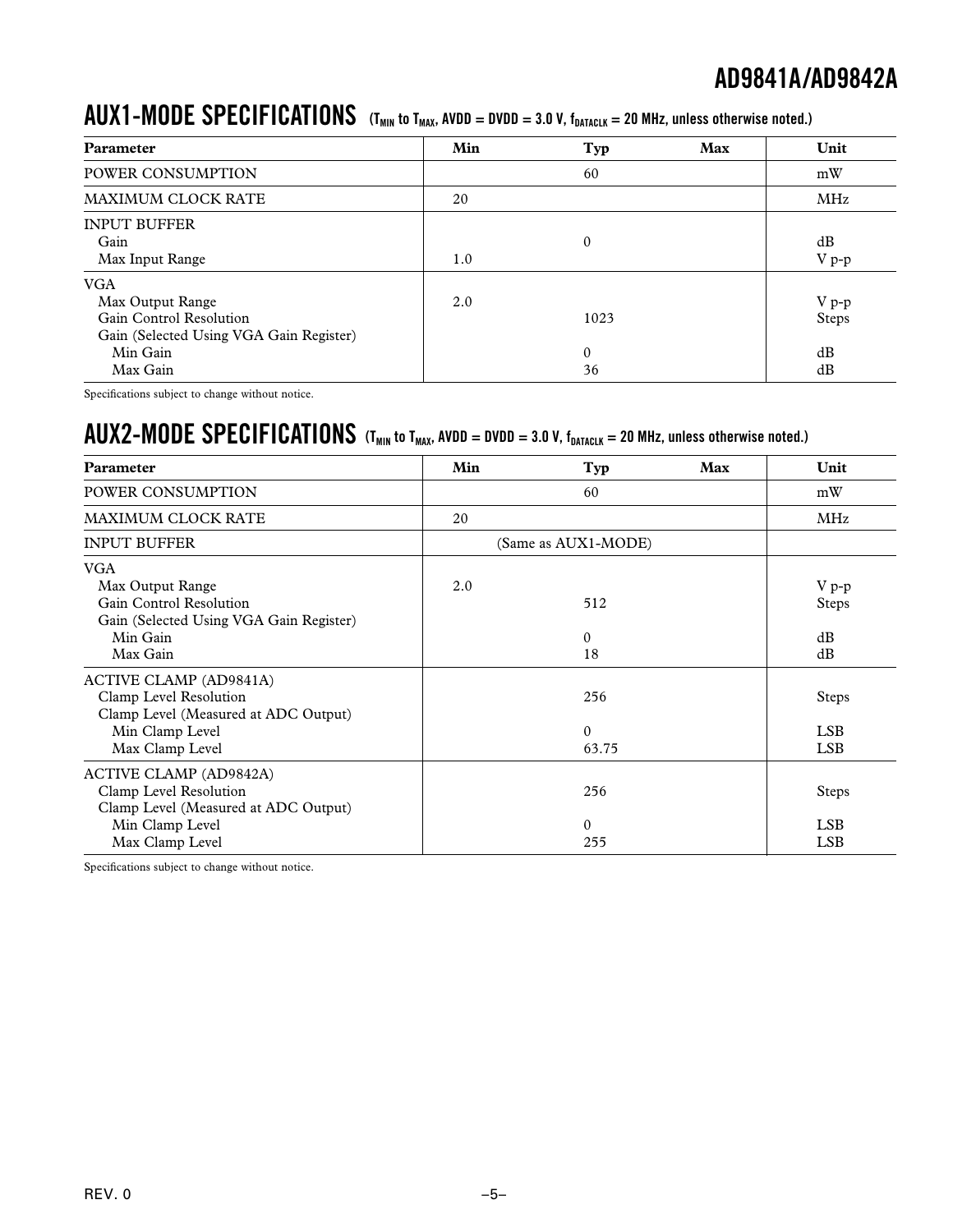### $\bm{AUX1}$  –  $\bm{MODE}$   $\bm{SPECIFICATIONS}$  (T<sub>MIN</sub> to T<sub>MAX</sub>, AVDD = DVDD = 3.0 V, f<sub>DATACLK</sub> = 20 MHz, unless otherwise noted.)

| Parameter                                                                                            | Min | Typ                | Max | Unit             |
|------------------------------------------------------------------------------------------------------|-----|--------------------|-----|------------------|
| POWER CONSUMPTION                                                                                    |     | 60                 |     | mW               |
| MAXIMUM CLOCK RATE                                                                                   | 20  |                    |     | MHz              |
| <b>INPUT BUFFER</b><br>Gain<br>Max Input Range                                                       | 1.0 | $\mathbf{0}$       |     | dB<br>$V p-p$    |
| <b>VGA</b><br>Max Output Range<br>Gain Control Resolution<br>Gain (Selected Using VGA Gain Register) | 2.0 | 1023               |     | $V p-p$<br>Steps |
| Min Gain<br>Max Gain                                                                                 |     | $\mathbf{0}$<br>36 |     | dB<br>dB         |

Specifications subject to change without notice.

### $\bm{AUX2}\text{-}\bm{MODE}$   $\bm{SPECIFICATIONS}$  (T<sub>MIN</sub> to T<sub>MAX</sub>, AVDD = DVDD = 3.0 V, f<sub>DATACLK</sub> = 20 MHz, unless otherwise noted.)

| <b>Parameter</b>                                                                                                                      | Min | Typ                      | Max | Unit                                     |
|---------------------------------------------------------------------------------------------------------------------------------------|-----|--------------------------|-----|------------------------------------------|
| POWER CONSUMPTION                                                                                                                     |     | 60                       |     | mW                                       |
| <b>MAXIMUM CLOCK RATE</b>                                                                                                             |     |                          | MHz |                                          |
| <b>INPUT BUFFER</b>                                                                                                                   |     | (Same as AUX1-MODE)      |     |                                          |
| <b>VGA</b><br>Max Output Range<br>Gain Control Resolution<br>Gain (Selected Using VGA Gain Register)<br>Min Gain<br>Max Gain          | 2.0 | 512<br>0<br>18           |     | $V p-p$<br><b>Steps</b><br>dB<br>dB      |
| <b>ACTIVE CLAMP (AD9841A)</b><br>Clamp Level Resolution<br>Clamp Level (Measured at ADC Output)<br>Min Clamp Level<br>Max Clamp Level |     | 256<br>$\theta$<br>63.75 |     | <b>Steps</b><br><b>LSB</b><br><b>LSB</b> |
| ACTIVE CLAMP (AD9842A)<br>Clamp Level Resolution<br>Clamp Level (Measured at ADC Output)<br>Min Clamp Level<br>Max Clamp Level        |     | 256<br>0<br>255          |     | Steps<br>LSB.<br><b>LSB</b>              |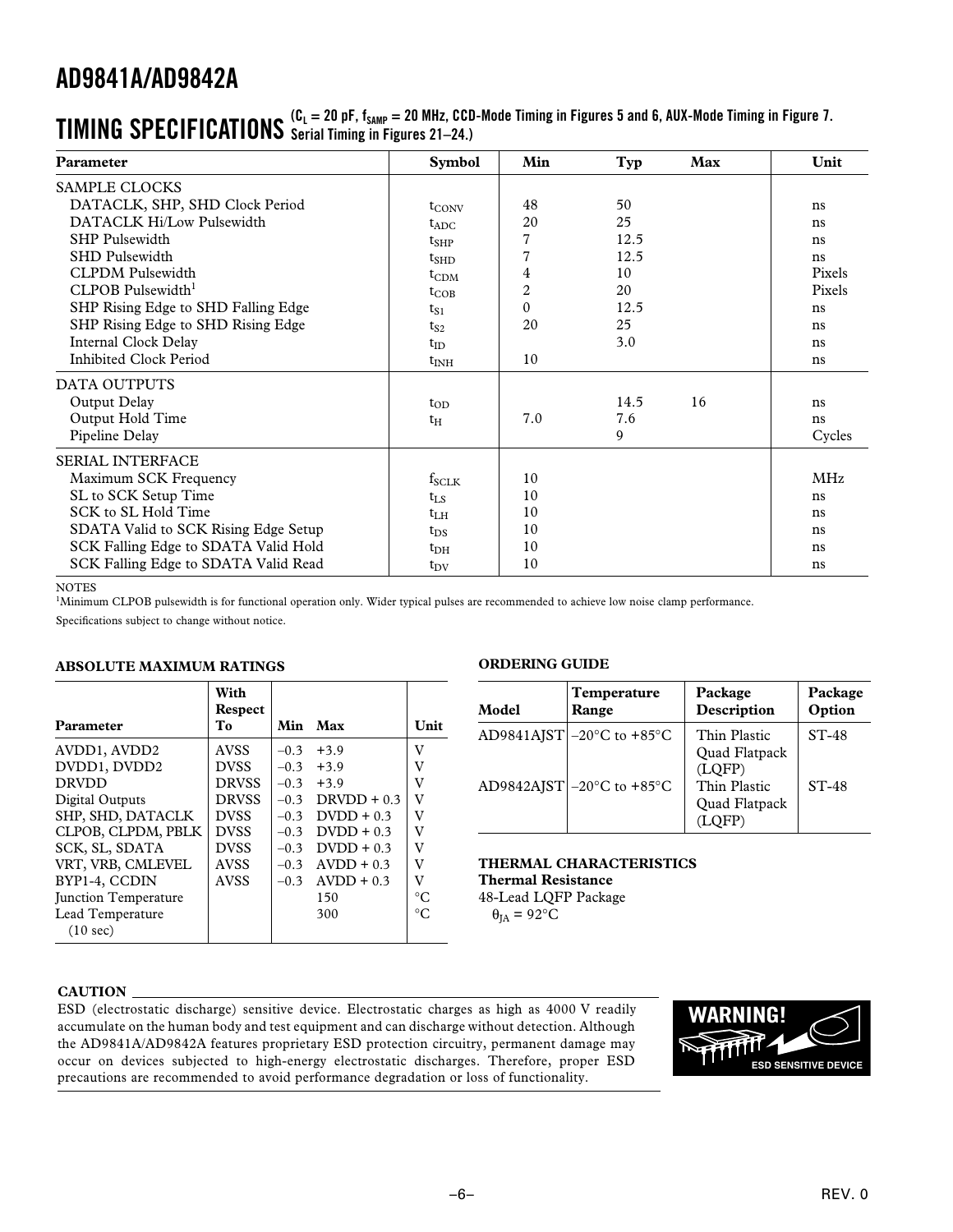| Parameter                            | <b>Symbol</b>     | Min            | Typ  | Max | Unit       |
|--------------------------------------|-------------------|----------------|------|-----|------------|
| <b>SAMPLE CLOCKS</b>                 |                   |                |      |     |            |
| DATACLK, SHP, SHD Clock Period       | $t_{\text{CONV}}$ | 48             | 50   |     | ns         |
| DATACLK Hi/Low Pulsewidth            | $t_{ADC}$         | 20             | 25   |     | ns         |
| <b>SHP Pulsewidth</b>                | $t_{SHP}$         | 7              | 12.5 |     | ns         |
| <b>SHD Pulsewidth</b>                | $t_{\rm SHD}$     | $\overline{7}$ | 12.5 |     | ns         |
| <b>CLPDM</b> Pulsewidth              | $t_{CDM}$         | 4              | 10   |     | Pixels     |
| CLPOB Pulsewidth <sup>1</sup>        | $t_{COB}$         | 2              | 20   |     | Pixels     |
| SHP Rising Edge to SHD Falling Edge  | $t_{S1}$          | $\Omega$       | 12.5 |     | ns         |
| SHP Rising Edge to SHD Rising Edge   | $t_{S2}$          | 20             | 25   |     | ns         |
| <b>Internal Clock Delay</b>          | $t_{ID}$          |                | 3.0  |     | ns         |
| Inhibited Clock Period               | $t_{\rm INH}$     | 10             |      |     | ns         |
| DATA OUTPUTS                         |                   |                |      |     |            |
| Output Delay                         | $t_{OD}$          |                | 14.5 | 16  | ns         |
| Output Hold Time                     | $t_H$             | 7.0            | 7.6  |     | ns         |
| Pipeline Delay                       |                   |                | 9    |     | Cycles     |
| <b>SERIAL INTERFACE</b>              |                   |                |      |     |            |
| Maximum SCK Frequency                | $f_{SCLK}$        | 10             |      |     | <b>MHz</b> |
| SL to SCK Setup Time                 | $t_{LS}$          | 10             |      |     | ns         |
| SCK to SL Hold Time                  | $t_{LH}$          | 10             |      |     | ns         |
| SDATA Valid to SCK Rising Edge Setup | $t_{DS}$          | 10             |      |     | ns         |
| SCK Falling Edge to SDATA Valid Hold | $t_{\rm DH}$      | 10             |      |     | ns         |
| SCK Falling Edge to SDATA Valid Read | $t_{\rm DV}$      | 10             |      |     | ns         |

### $\boldsymbol{\Pi}$   $\boldsymbol{\Pi}$   $\boldsymbol{\Pi}$   $\boldsymbol{\Gamma}$   $\boldsymbol{\Gamma}$   $\boldsymbol{\Pi}$   $\boldsymbol{\Pi}$   $\boldsymbol{\Pi}$   $\boldsymbol{\Pi}$   $\boldsymbol{\Pi}$   $\boldsymbol{\Sigma}$   $\boldsymbol{\Sigma}$   $\boldsymbol{\Gamma}$   $\boldsymbol{\Sigma}$   $\boldsymbol{\Sigma}$   $\boldsymbol{\Pi}$   $\boldsymbol{\Sigma}$   $\boldsymbol{\Sigma}$   $\boldsymbol{\Sigma}$   $\boldsymbol{\Sigma}$   $\boldsymbol{\Sigma}$   $\boldsymbol{\Sigma}$   $\boldsymbol{\Sigma}$   $\boldsymbol{\Sigma}$   $\boldsymbol{\$ **Serial Timing in Figures 21–24.)**

#### NOTES

<sup>1</sup>Minimum CLPOB pulsewidth is for functional operation only. Wider typical pulses are recommended to achieve low noise clamp performance.

Specifications subject to change without notice.

### **ABSOLUTE MAXIMUM RATINGS**

| Parameter                   | With<br>Respect<br>T <sub>0</sub> | Min    | Max                | Unit      |
|-----------------------------|-----------------------------------|--------|--------------------|-----------|
| AVDD1, AVDD2                | <b>AVSS</b>                       | $-0.3$ | $+3.9$             | v         |
| DVDD1, DVDD2                | <b>DVSS</b>                       | $-0.3$ | $+3.9$             | V         |
| <b>DRVDD</b>                | <b>DRVSS</b>                      | $-0.3$ | $+3.9$             | V         |
| Digital Outputs             | <b>DRVSS</b>                      |        | $-0.3$ DRVDD + 0.3 | v         |
| SHP, SHD, DATACLK           | <b>DVSS</b>                       | $-0.3$ | $D VDD + 0.3$      | V         |
| CLPOB, CLPDM, PBLK          | <b>DVSS</b>                       | $-0.3$ | $D VDD + 0.3$      | V         |
| SCK, SL, SDATA              | <b>DVSS</b>                       | $-0.3$ | $D VDD + 0.3$      | v         |
| VRT, VRB, CMLEVEL           | <b>AVSS</b>                       |        | $-0.3$ AVDD + 0.3  | V         |
| BYP1-4, CCDIN               | <b>AVSS</b>                       | $-0.3$ | $AVDD + 0.3$       | v         |
| <b>Iunction Temperature</b> |                                   |        | 150                | $\circ$ C |
| Lead Temperature            |                                   |        | 300                | $\circ$ C |
| (10 sec)                    |                                   |        |                    |           |

### **ORDERING GUIDE**

| Model | <b>Temperature</b><br>Range                    | Package<br>Description                  | Package<br>Option |
|-------|------------------------------------------------|-----------------------------------------|-------------------|
|       | AD9841AJST $ -20^{\circ}$ C to $+85^{\circ}$ C | Thin Plastic<br>Quad Flatpack<br>(LOFP) | $ST-48$           |
|       | AD9842AJST $-20^{\circ}$ C to $+85^{\circ}$ C  | Thin Plastic<br>Quad Flatpack<br>LOFP   | $ST-48$           |

**THERMAL CHARACTERISTICS Thermal Resistance**

48-Lead LQFP Package  $\theta_{IA} = 92$ °C

#### **CAUTION**

ESD (electrostatic discharge) sensitive device. Electrostatic charges as high as 4000 V readily accumulate on the human body and test equipment and can discharge without detection. Although the AD9841A/AD9842A features proprietary ESD protection circuitry, permanent damage may occur on devices subjected to high-energy electrostatic discharges. Therefore, proper ESD precautions are recommended to avoid performance degradation or loss of functionality.

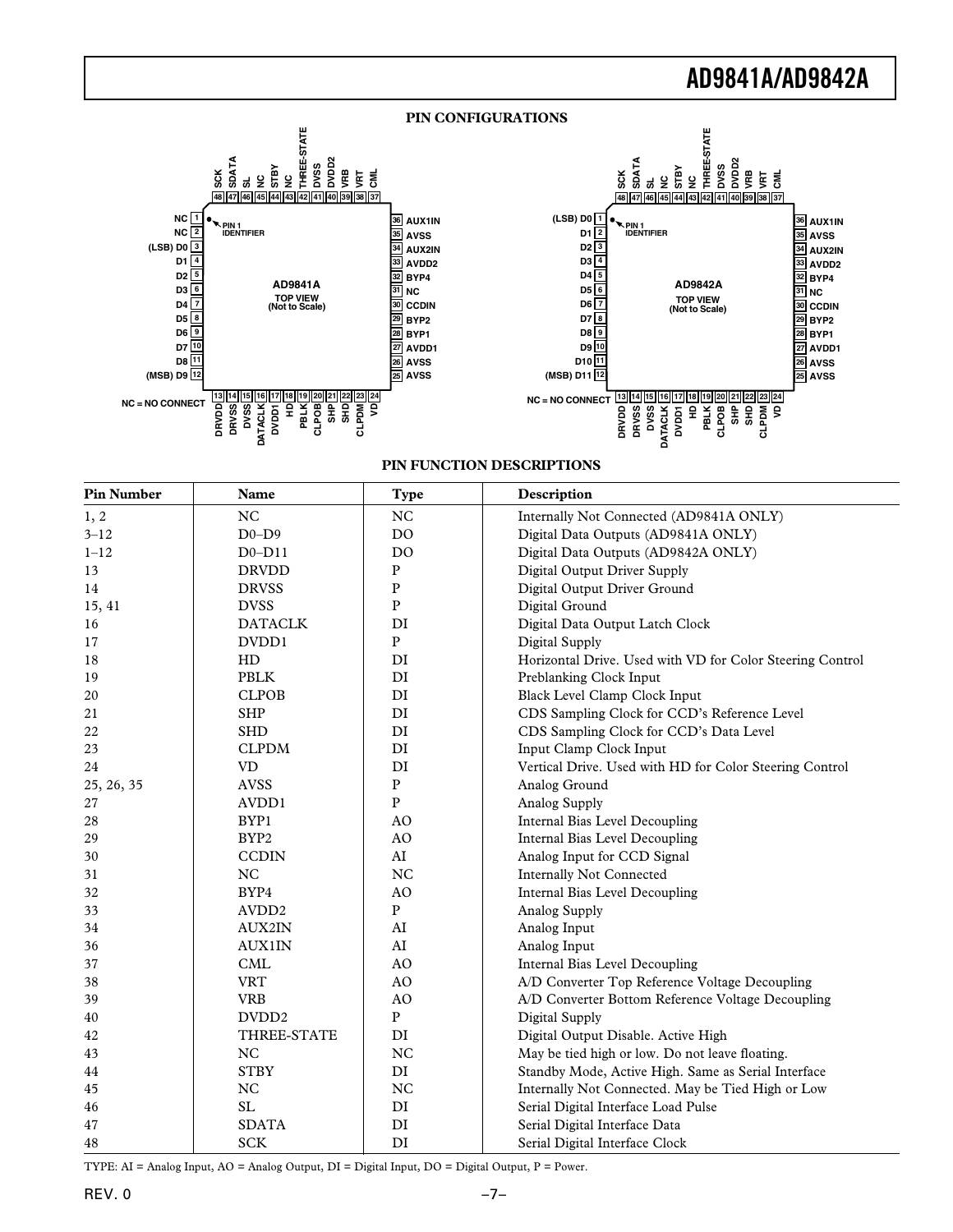



#### **PIN FUNCTION DESCRIPTIONS**

| <b>Pin Number</b> | Name              | <b>Type</b>       | Description                                               |
|-------------------|-------------------|-------------------|-----------------------------------------------------------|
| 1, 2              | <b>NC</b>         | $_{\rm NC}$       | Internally Not Connected (AD9841A ONLY)                   |
| $3 - 12$          | $D0-D9$           | <b>DO</b>         | Digital Data Outputs (AD9841A ONLY)                       |
| $1 - 12$          | $D0-D11$          | D <sub>O</sub>    | Digital Data Outputs (AD9842A ONLY)                       |
| 13                | <b>DRVDD</b>      | ${\bf P}$         | Digital Output Driver Supply                              |
| 14                | <b>DRVSS</b>      | ${\bf P}$         | Digital Output Driver Ground                              |
| 15, 41            | <b>DVSS</b>       | ${\bf P}$         | Digital Ground                                            |
| 16                | <b>DATACLK</b>    | DI                | Digital Data Output Latch Clock                           |
| 17                | DVDD1             | ${\bf P}$         | Digital Supply                                            |
| 18                | HD                | DI                | Horizontal Drive. Used with VD for Color Steering Control |
| 19                | <b>PBLK</b>       | DI                | Preblanking Clock Input                                   |
| 20                | <b>CLPOB</b>      | DI                | Black Level Clamp Clock Input                             |
| 21                | <b>SHP</b>        | DI                | CDS Sampling Clock for CCD's Reference Level              |
| 22                | <b>SHD</b>        | DI                | CDS Sampling Clock for CCD's Data Level                   |
| 23                | <b>CLPDM</b>      | DI                | Input Clamp Clock Input                                   |
| 24                | <b>VD</b>         | DI                | Vertical Drive. Used with HD for Color Steering Control   |
| 25, 26, 35        | <b>AVSS</b>       | ${\bf P}$         | Analog Ground                                             |
| 27                | AVDD1             | $\, {\bf P}$      | Analog Supply                                             |
| 28                | BYP1              | AO                | Internal Bias Level Decoupling                            |
| 29                | BYP2              | AO                | Internal Bias Level Decoupling                            |
| 30                | <b>CCDIN</b>      | AI                | Analog Input for CCD Signal                               |
| 31                | <b>NC</b>         | <b>NC</b>         | <b>Internally Not Connected</b>                           |
| 32                | BYP4              | AO                | Internal Bias Level Decoupling                            |
| 33                | AVDD <sub>2</sub> | ${\bf P}$         | Analog Supply                                             |
| 34                | <b>AUX2IN</b>     | AI                | Analog Input                                              |
| 36                | <b>AUX1IN</b>     | AI                | Analog Input                                              |
| 37                | <b>CML</b>        | AO                | Internal Bias Level Decoupling                            |
| 38                | <b>VRT</b>        | AO                | A/D Converter Top Reference Voltage Decoupling            |
| 39                | <b>VRB</b>        | $\rm AO$          | A/D Converter Bottom Reference Voltage Decoupling         |
| 40                | DVDD <sub>2</sub> | $\mathbf{P}$      | Digital Supply                                            |
| 42                | THREE-STATE       | DI                | Digital Output Disable. Active High                       |
| 43                | NC                | NC                | May be tied high or low. Do not leave floating.           |
| 44                | <b>STBY</b>       | DI                | Standby Mode, Active High. Same as Serial Interface       |
| 45                | <b>NC</b>         | <b>NC</b>         | Internally Not Connected. May be Tied High or Low         |
| 46                | SL                | $\mathop{\rm DI}$ | Serial Digital Interface Load Pulse                       |
| 47                | <b>SDATA</b>      | DI                | Serial Digital Interface Data                             |
| 48                | <b>SCK</b>        | DI                | Serial Digital Interface Clock                            |

TYPE: AI = Analog Input, AO = Analog Output, DI = Digital Input, DO = Digital Output, P = Power.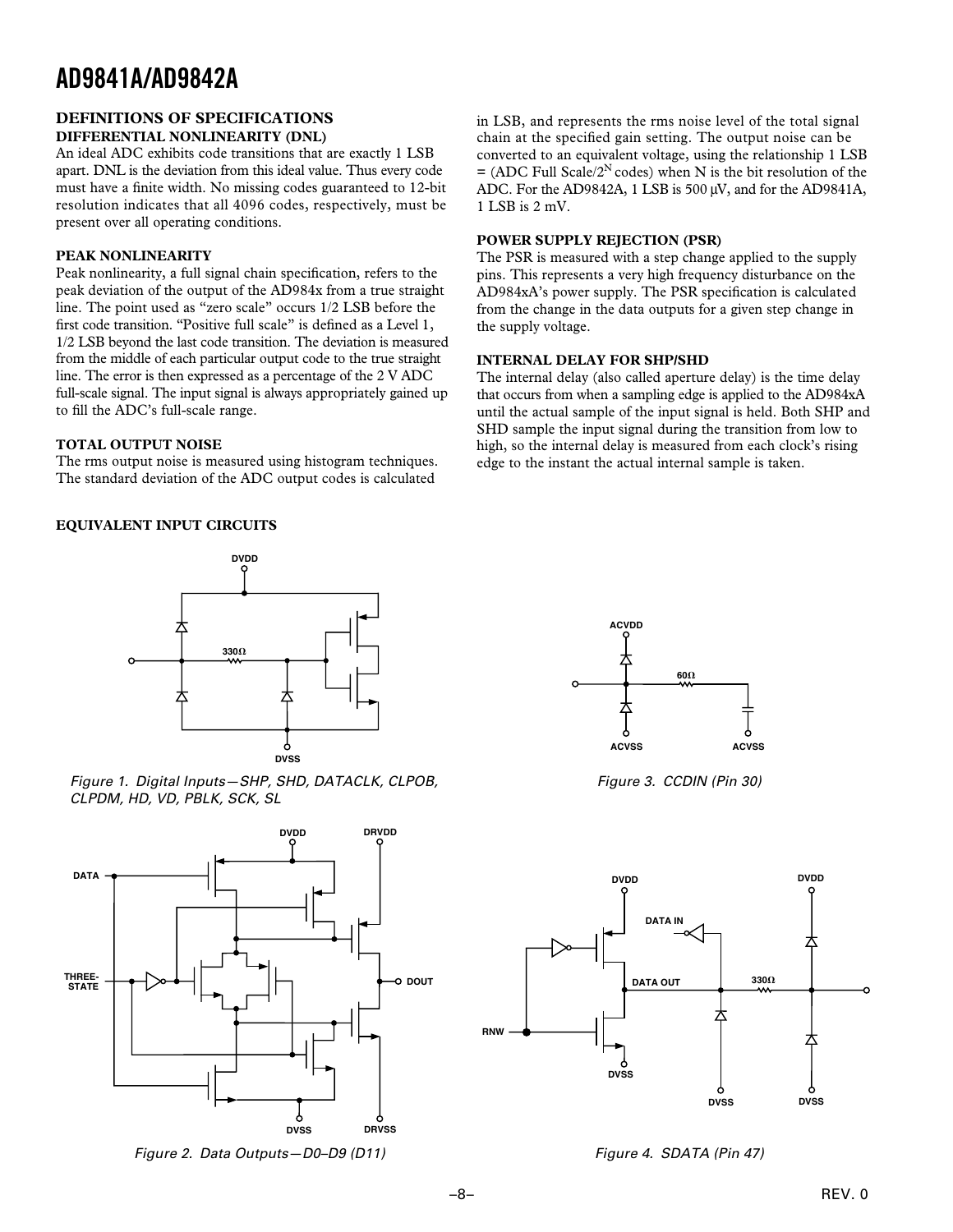#### **DEFINITIONS OF SPECIFICATIONS DIFFERENTIAL NONLINEARITY (DNL)**

An ideal ADC exhibits code transitions that are exactly 1 LSB apart. DNL is the deviation from this ideal value. Thus every code must have a finite width. No missing codes guaranteed to 12-bit resolution indicates that all 4096 codes, respectively, must be present over all operating conditions.

### **PEAK NONLINEARITY**

Peak nonlinearity, a full signal chain specification, refers to the peak deviation of the output of the AD984x from a true straight line. The point used as "zero scale" occurs 1/2 LSB before the first code transition. "Positive full scale" is defined as a Level 1, 1/2 LSB beyond the last code transition. The deviation is measured from the middle of each particular output code to the true straight line. The error is then expressed as a percentage of the 2 V ADC full-scale signal. The input signal is always appropriately gained up to fill the ADC's full-scale range.

### **TOTAL OUTPUT NOISE**

The rms output noise is measured using histogram techniques. The standard deviation of the ADC output codes is calculated

**EQUIVALENT INPUT CIRCUITS**



Figure 1. Digital Inputs—SHP, SHD, DATACLK, CLPOB, CLPDM, HD, VD, PBLK, SCK, SL



Figure 2. Data Outputs—D0–D9 (D11)

in LSB, and represents the rms noise level of the total signal chain at the specified gain setting. The output noise can be converted to an equivalent voltage, using the relationship 1 LSB  $=$  (ADC Full Scale/2<sup>N</sup> codes) when N is the bit resolution of the ADC. For the AD9842A, 1 LSB is 500 µV, and for the AD9841A, 1 LSB is 2 mV.

### **POWER SUPPLY REJECTION (PSR)**

The PSR is measured with a step change applied to the supply pins. This represents a very high frequency disturbance on the AD984xA's power supply. The PSR specification is calculated from the change in the data outputs for a given step change in the supply voltage.

### **INTERNAL DELAY FOR SHP/SHD**

The internal delay (also called aperture delay) is the time delay that occurs from when a sampling edge is applied to the AD984xA until the actual sample of the input signal is held. Both SHP and SHD sample the input signal during the transition from low to high, so the internal delay is measured from each clock's rising edge to the instant the actual internal sample is taken.



Figure 3. CCDIN (Pin 30)



Figure 4. SDATA (Pin 47)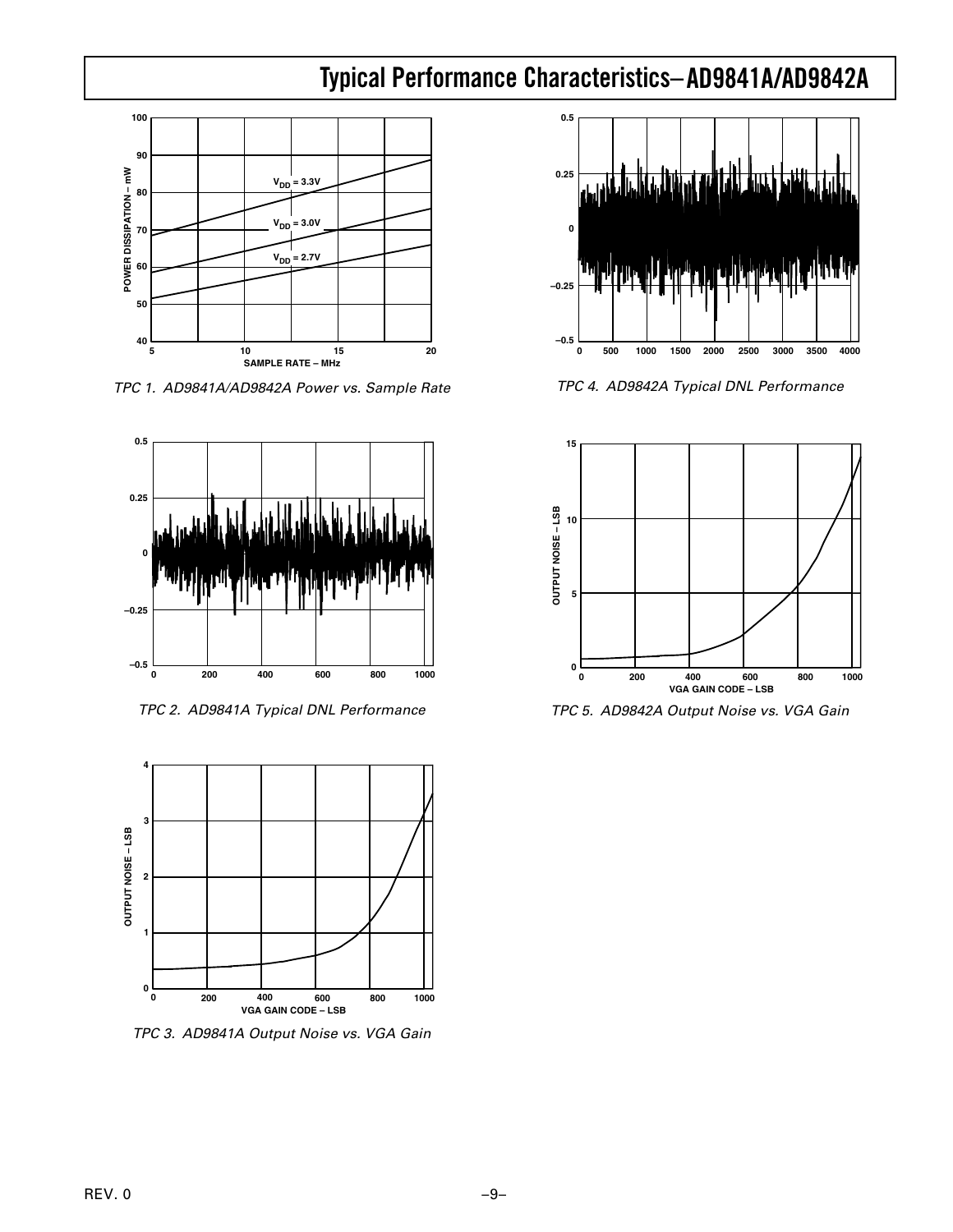### **AD9841A/AD9842A Typical Performance Characteristics–**



TPC 1. AD9841A/AD9842A Power vs. Sample Rate



TPC 2. AD9841A Typical DNL Performance



TPC 3. AD9841A Output Noise vs. VGA Gain



TPC 4. AD9842A Typical DNL Performance



TPC 5. AD9842A Output Noise vs. VGA Gain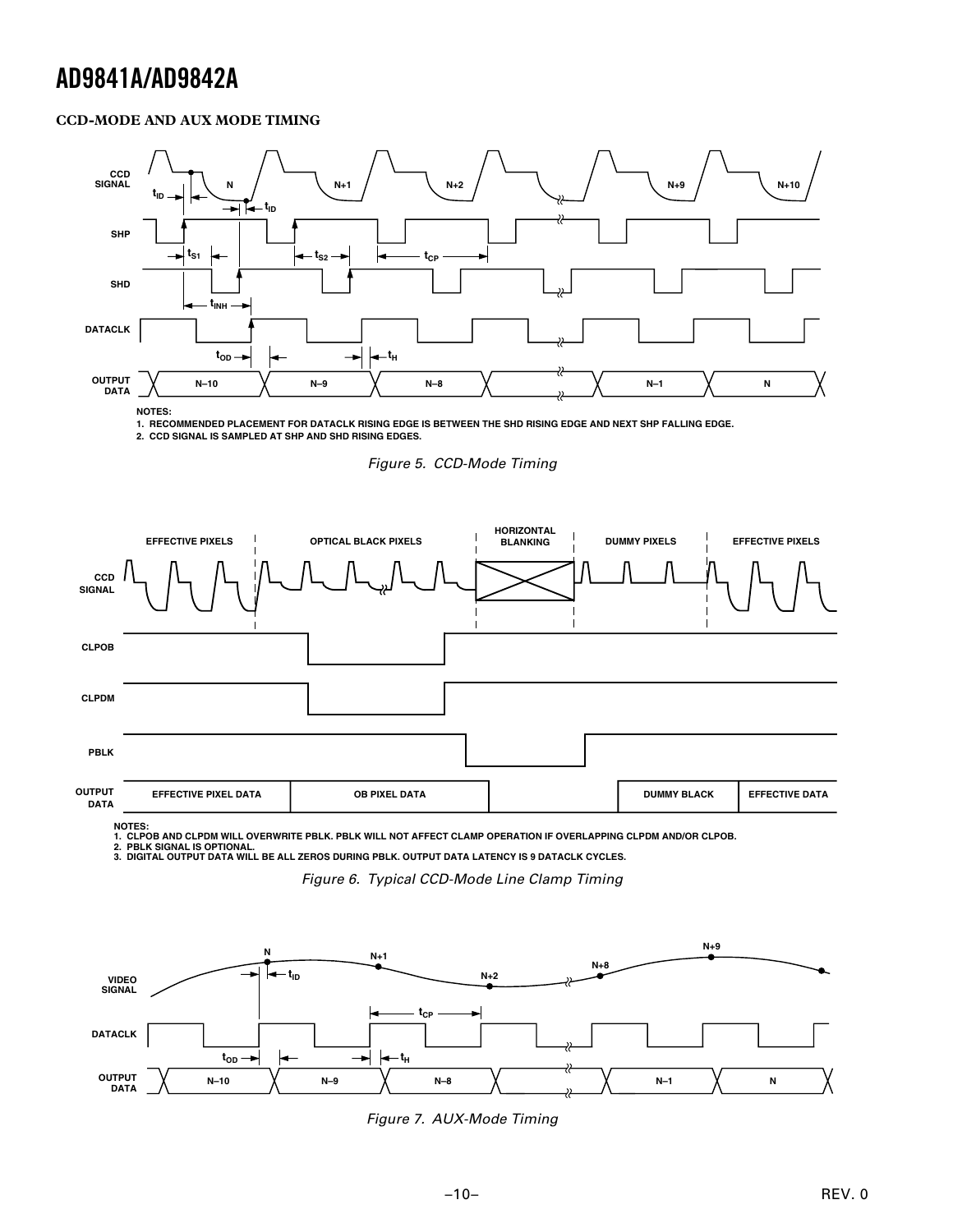### **CCD-MODE AND AUX MODE TIMING**



**1. RECOMMENDED PLACEMENT FOR DATACLK RISING EDGE IS BETWEEN THE SHD RISING EDGE AND NEXT SHP FALLING EDGE.**

**2. CCD SIGNAL IS SAMPLED AT SHP AND SHD RISING EDGES.**

Figure 5. CCD-Mode Timing



1. CLPOB AND CLPDM WILL OVERWRITE PBLK. PBLK WILL NOT AFFECT CLAMP OPERATION IF OVERLAPPING CLPDM AND/OR CLPOB.<br>2. PBLK SIGNAL IS OPTIONAL.<br>3. DIGITAL OUTPUT DATA WILL BE ALL ZEROS DURING PBLK. OUTPUT DATA LATENCY IS 9

Figure 6. Typical CCD-Mode Line Clamp Timing



Figure 7. AUX-Mode Timing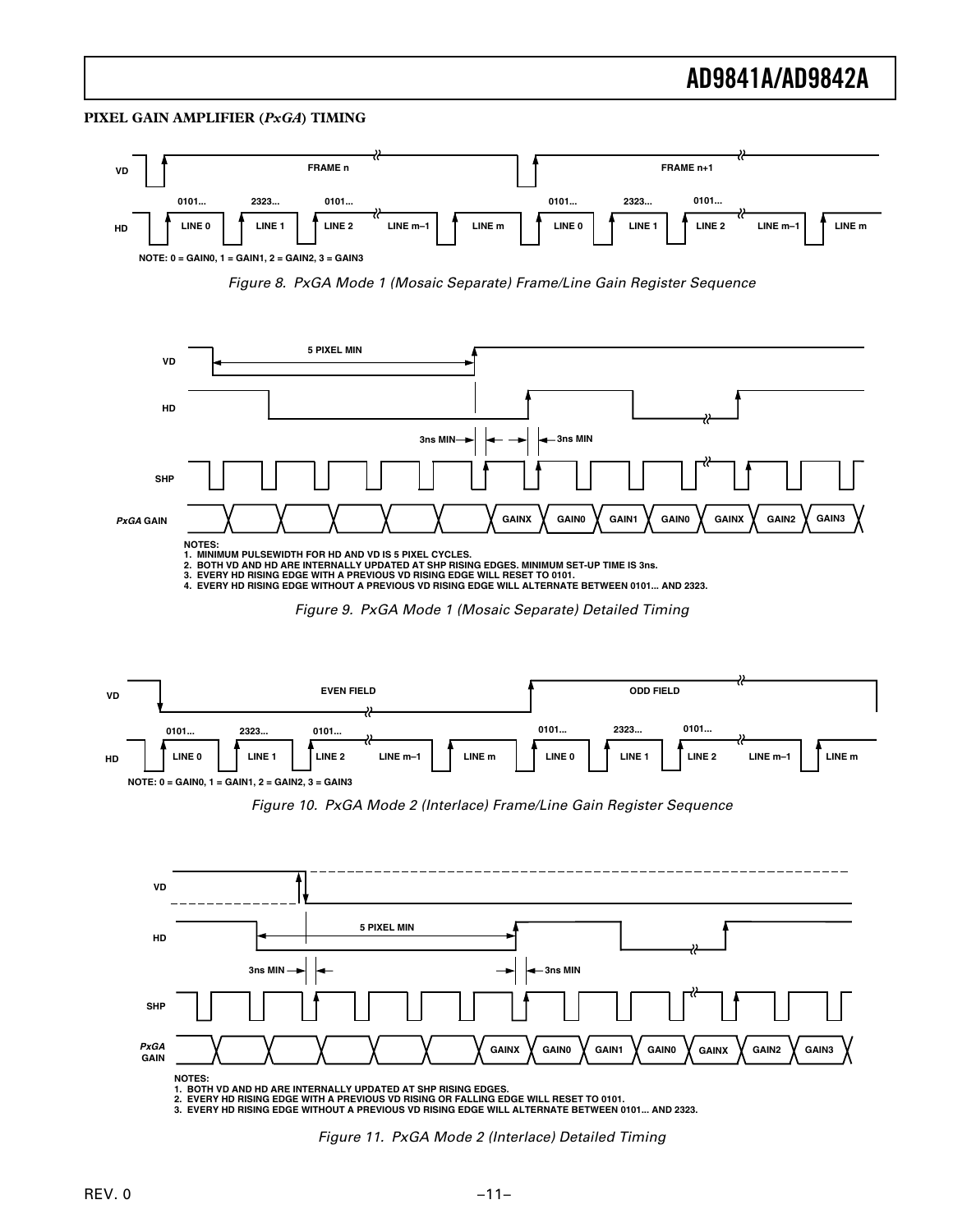#### **PIXEL GAIN AMPLIFIER (***PxGA***) TIMING**











Figure 10. PxGA Mode 2 (Interlace) Frame/Line Gain Register Sequence



Figure 11. PxGA Mode 2 (Interlace) Detailed Timing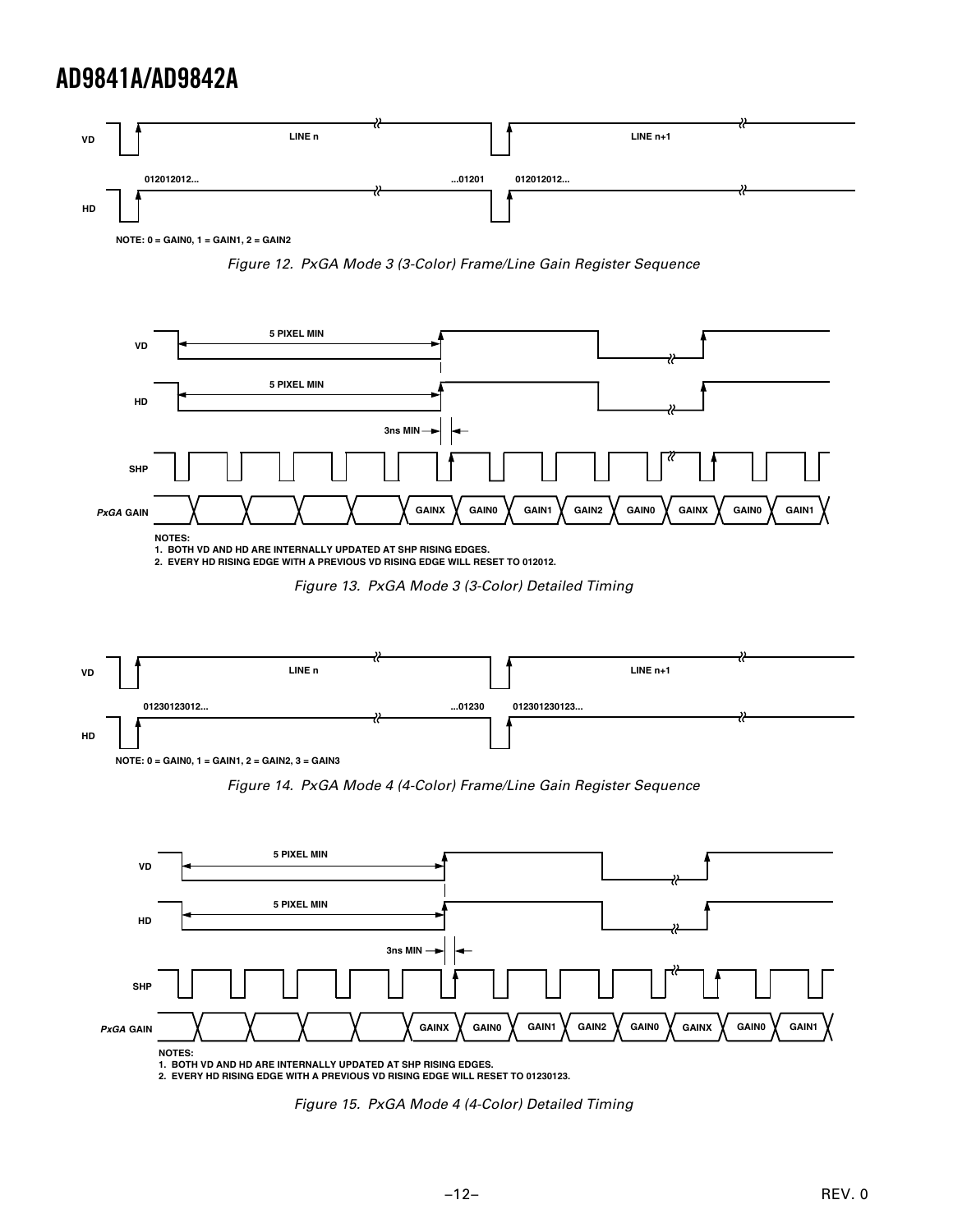

**NOTE: 0 = GAIN0, 1 = GAIN1, 2 = GAIN2**

Figure 12. PxGA Mode 3 (3-Color) Frame/Line Gain Register Sequence



**1. BOTH VD AND HD ARE INTERNALLY UPDATED AT SHP RISING EDGES. 2. EVERY HD RISING EDGE WITH A PREVIOUS VD RISING EDGE WILL RESET TO 012012.**

Figure 13. PxGA Mode 3 (3-Color) Detailed Timing



Figure 14. PxGA Mode 4 (4-Color) Frame/Line Gain Register Sequence



**2. EVERY HD RISING EDGE WITH A PREVIOUS VD RISING EDGE WILL RESET TO 01230123.**

Figure 15. PxGA Mode 4 (4-Color) Detailed Timing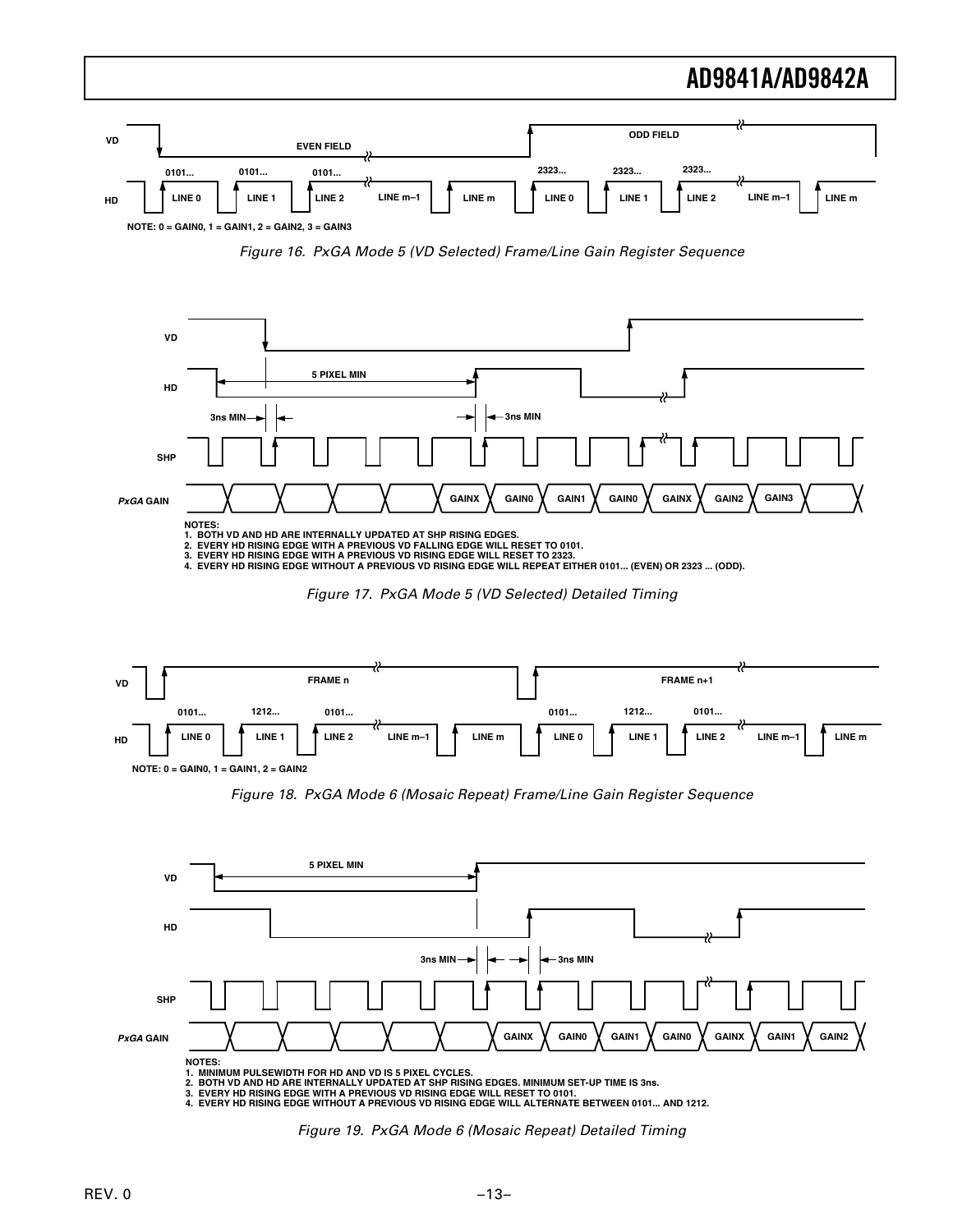

Figure 16. PxGA Mode 5 (VD Selected) Frame/Line Gain Register Sequence







Figure 18. PxGA Mode 6 (Mosaic Repeat) Frame/Line Gain Register Sequence



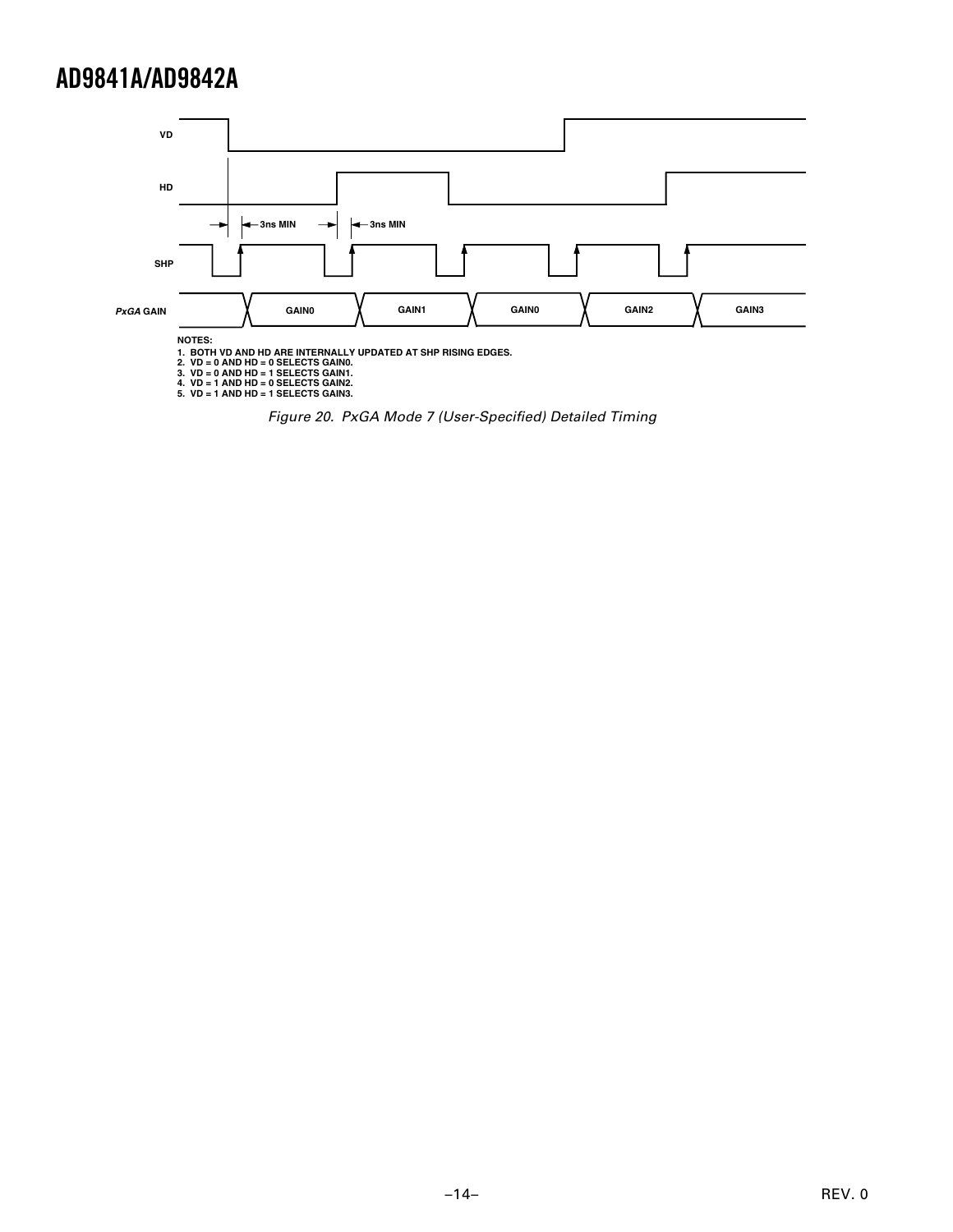

Figure 20. PxGA Mode 7 (User-Specified) Detailed Timing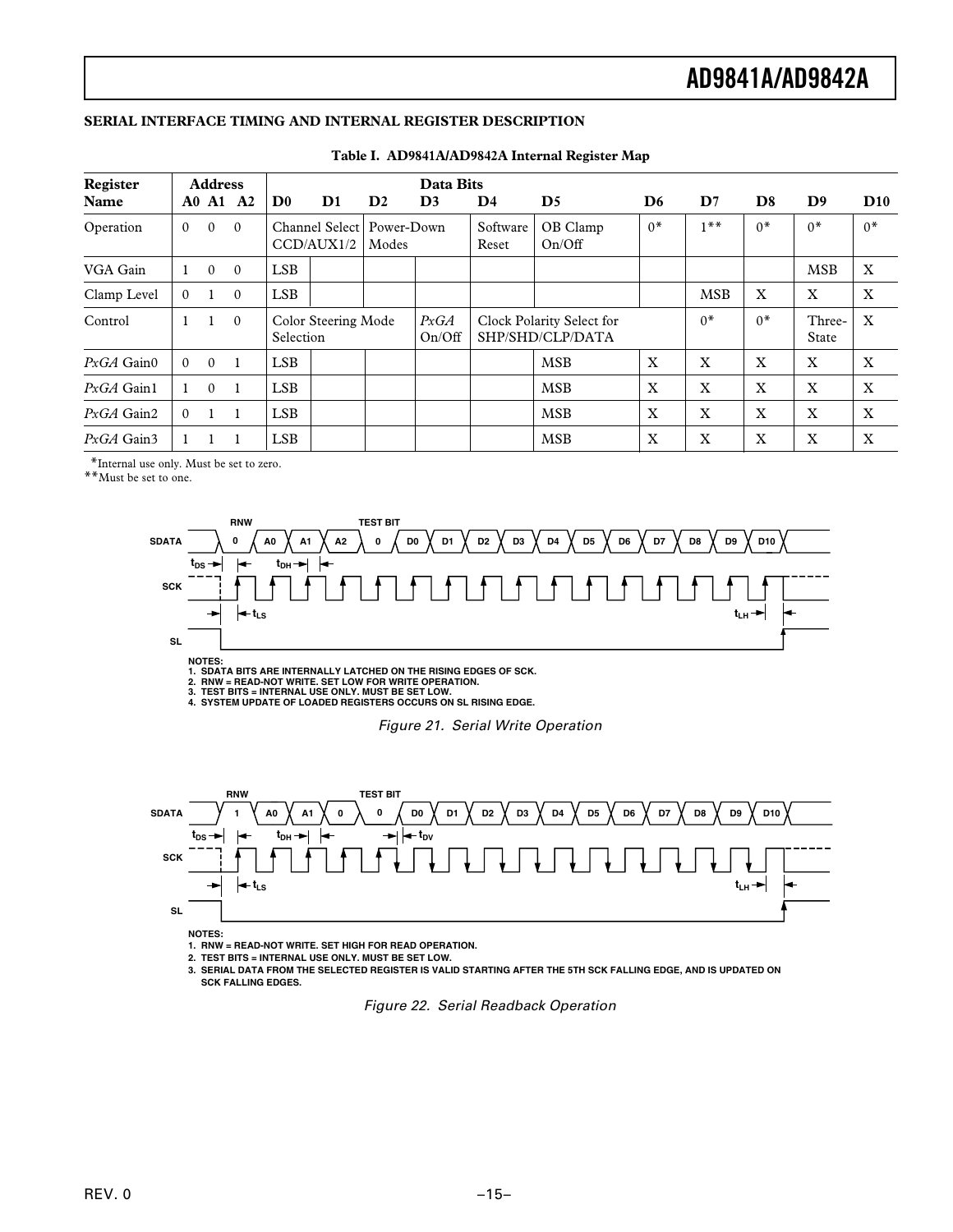### **SERIAL INTERFACE TIMING AND INTERNAL REGISTER DESCRIPTION**

| Register        |          | Data Bits<br><b>Address</b> |                |                           |                                           |               |                |                   |                                               |                |             |                |                 |                           |
|-----------------|----------|-----------------------------|----------------|---------------------------|-------------------------------------------|---------------|----------------|-------------------|-----------------------------------------------|----------------|-------------|----------------|-----------------|---------------------------|
| Name            |          |                             | A0 A1 A2       | $\mathbf{D}^{\mathbf{0}}$ | D <sub>1</sub>                            | $\mathbf{D}2$ | D <sub>3</sub> | D <sub>4</sub>    | $\mathbf{D}5$                                 | D <sub>6</sub> | D7          | D <sub>8</sub> | D <sub>9</sub>  | D10                       |
| Operation       | $\Omega$ | $\theta$                    | $\theta$       |                           | Channel Select   Power-Down<br>CCD/AUX1/2 | Modes         |                | Software<br>Reset | OB Clamp<br>On/Off                            | $0*$           | $1***$      | $0*$           | $0*$            | $0*$                      |
| VGA Gain        |          | $\theta$                    | $\overline{0}$ | <b>LSB</b>                |                                           |               |                |                   |                                               |                |             |                | <b>MSB</b>      | $\mathbf X$               |
| Clamp Level     | $\Omega$ | 1                           | $\theta$       | <b>LSB</b>                |                                           |               |                |                   |                                               |                | <b>MSB</b>  | X              | X               | X                         |
| Control         |          | 1                           | $\overline{0}$ | Selection                 | Color Steering Mode                       |               | PxGA<br>On/Off |                   | Clock Polarity Select for<br>SHP/SHD/CLP/DATA |                | $0*$        | $0*$           | Three-<br>State | $\boldsymbol{\mathrm{X}}$ |
| $PxGA$ Gain $0$ | $\Omega$ | $\Omega$                    | -1             | <b>LSB</b>                |                                           |               |                |                   | <b>MSB</b>                                    | X              | X           | X              | X               | X                         |
| $PxGA$ Gain1    |          | $\theta$                    | -1             | <b>LSB</b>                |                                           |               |                |                   | <b>MSB</b>                                    | X              | X           | X              | X               | X                         |
| $PxGA$ Gain2    | $\Omega$ | $\mathbf{1}$                | $\mathbf{1}$   | <b>LSB</b>                |                                           |               |                |                   | <b>MSB</b>                                    | $\mathbf x$    | $\mathbf x$ | X              | X               | $\mathbf{X}$              |
| $PxGA$ Gain3    |          |                             |                | <b>LSB</b>                |                                           |               |                |                   | <b>MSB</b>                                    | X              | X           | $\mathbf X$    | X               | $\boldsymbol{\mathrm{X}}$ |

#### **Table I. AD9841A/AD9842A Internal Register Map**

\*Internal use only. Must be set to zero.

\*\*Must be set to one.



2. RNW = READ-NOT WRITE. SET LOW FOR WRITE OPERATION.<br>3. TEST BITS = INTERNAL USE ONLY. MUST BE SET LOW.<br>4. SYSTEM UPDATE OF LOADED REGISTERS OCCURS ON SL RISING EDGE.

Figure 21. Serial Write Operation



**1. RNW = READ-NOT WRITE. SET HIGH FOR READ OPERATION.**

**2. TEST BITS = INTERNAL USE ONLY. MUST BE SET LOW.**

**3. SERIAL DATA FROM THE SELECTED REGISTER IS VALID STARTING AFTER THE 5TH SCK FALLING EDGE, AND IS UPDATED ON SCK FALLING EDGES.**

Figure 22. Serial Readback Operation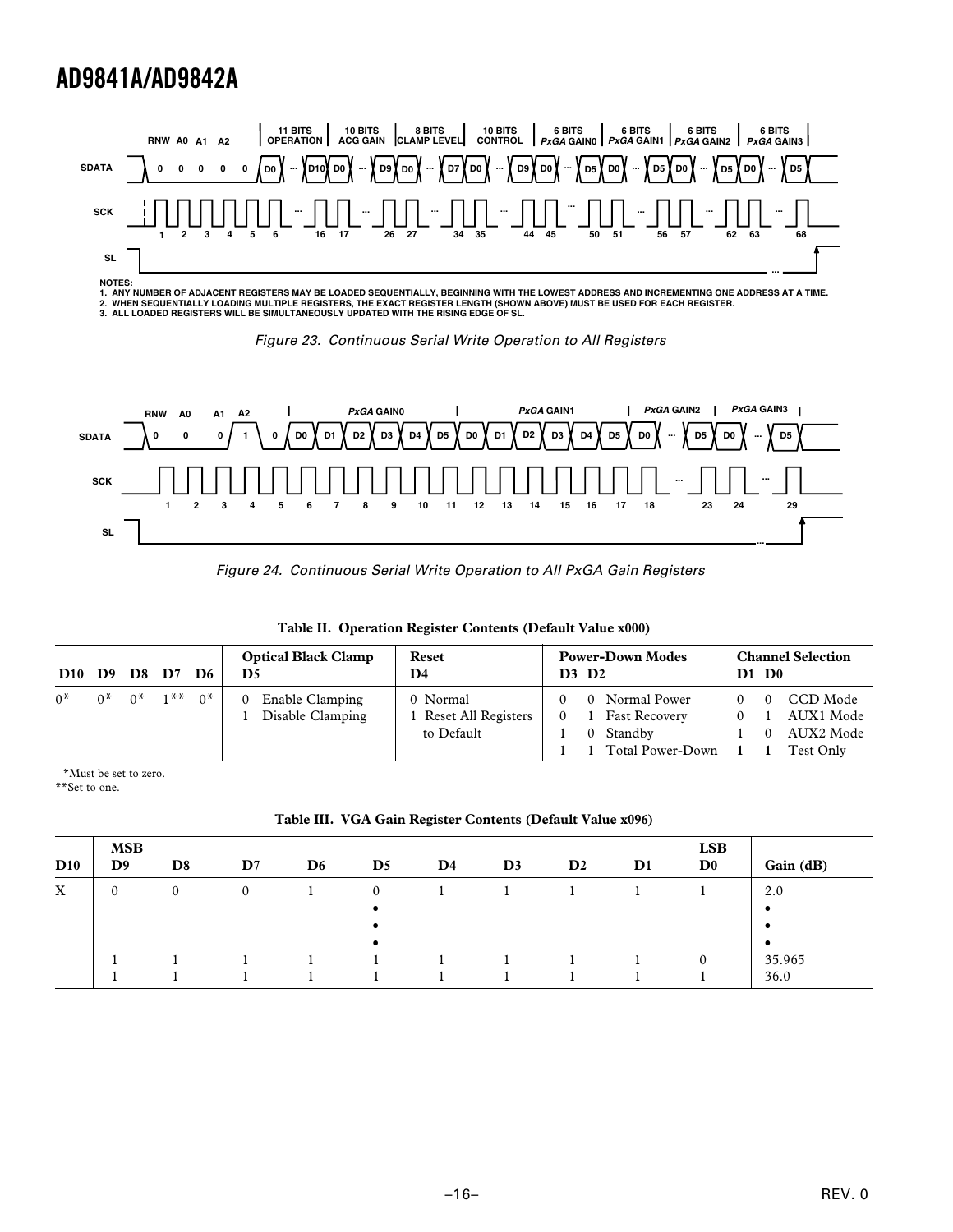

NOTES:<br>1. ANY NUMBER OF ADJACENT REGISTERS MAY BE LOADED SEQUENTIALLY, BEGINNING WITH THE LOWEST ADDRESS AND INCREMENTING ONE ADDRESS AT A TIME.<br>2. WHEN SEQUENTIALLY LOADING MULTIPLE REGISTERS, THE EXACT REGISTER LENGTH (





Figure 24. Continuous Serial Write Operation to All PxGA Gain Registers

| D <sub>10</sub> | D9   | <b>D8 D</b> 7 |        | D6 | <b>Optical Black Clamp</b><br>D5                | Reset<br>D4                                   | <b>Power-Down Modes</b><br><b>D3 D2</b>                                      | <b>Channel Selection</b><br>$D1$ $D0$           |
|-----------------|------|---------------|--------|----|-------------------------------------------------|-----------------------------------------------|------------------------------------------------------------------------------|-------------------------------------------------|
| n*              | $^*$ | $^*$          | $1$ ** | ∩* | Enable Clamping<br>$\theta$<br>Disable Clamping | 0 Normal<br>Reset All Registers<br>to Default | 0 Normal Power<br><b>Fast Recovery</b><br>0<br>0 Standby<br>Total Power-Down | CCD Mode<br>AUX1 Mode<br>AUX2 Mode<br>Test Only |

|  |  | Table II. Operation Register Contents (Default Value x000) |  |  |
|--|--|------------------------------------------------------------|--|--|
|--|--|------------------------------------------------------------|--|--|

\*Must be set to zero.

\*\*Set to one.

**Table III. VGA Gain Register Contents (Default Value x096)**

| D10 | <b>MSB</b><br>D9 | D <sub>8</sub> | $\mathbf{D}7$ | D <sub>6</sub> | $\mathbf{D}5$ | $\mathbf{D}4$ | D <sub>3</sub> | $\mathbf{D}2$ | D <sub>1</sub> | <b>LSB</b><br>D <sub>0</sub> | Gain (dB)      |
|-----|------------------|----------------|---------------|----------------|---------------|---------------|----------------|---------------|----------------|------------------------------|----------------|
| X   | $\mathbf{0}$     | $\mathbf{0}$   | $\mathbf{0}$  |                | $\Omega$      |               |                |               |                |                              | 2.0<br>٠       |
|     |                  |                |               |                | ٠             |               |                |               |                |                              | $\bullet$      |
|     |                  |                |               |                |               |               |                |               |                |                              | 35.965<br>36.0 |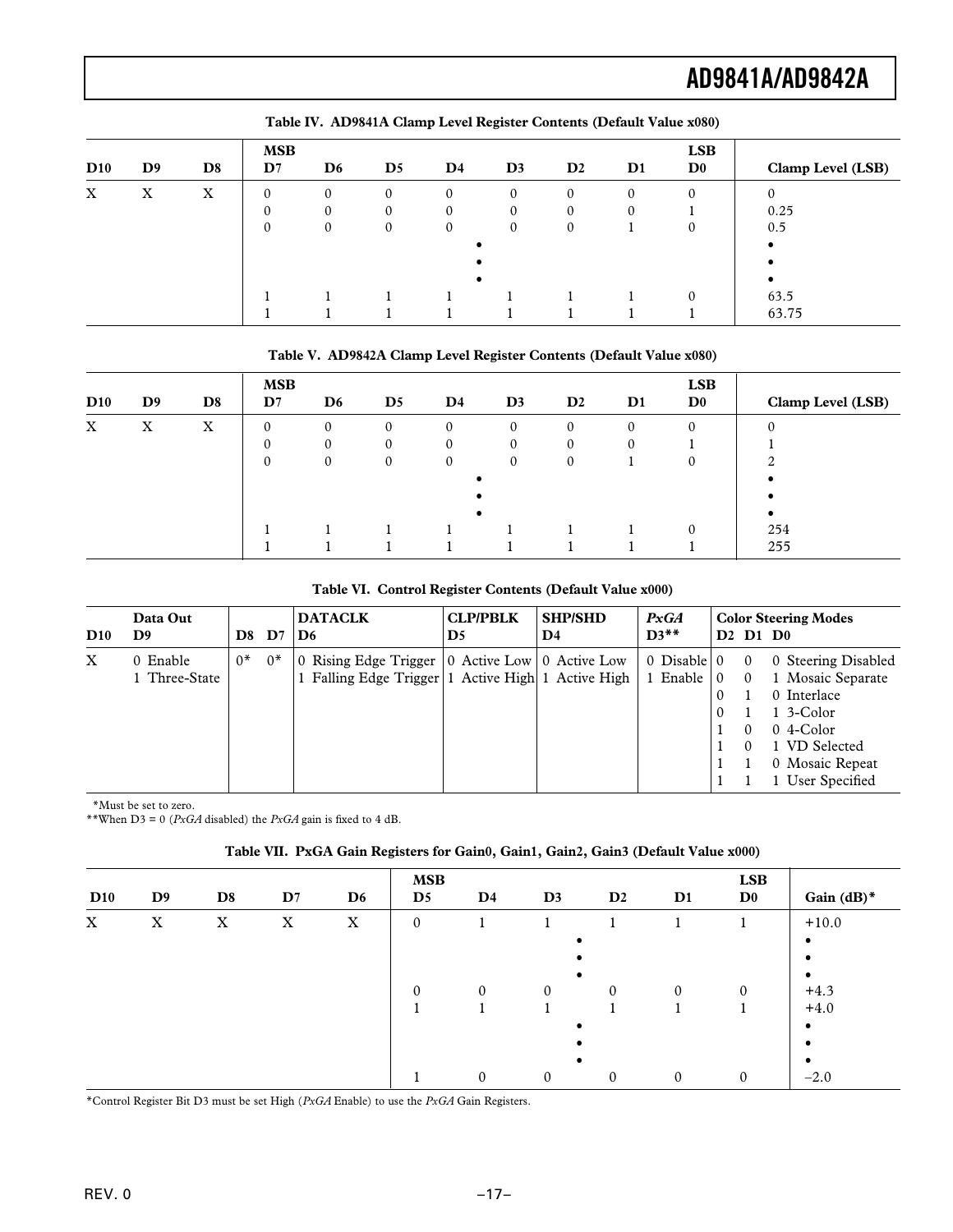| D10                       | D <sub>9</sub> | D <sub>8</sub> | <b>MSB</b><br>$\mathbf{D}7$ | D <sub>6</sub> | $\mathbf{D}5$ | $\mathbf{D}4$ | D <sub>3</sub> | D2           | $\mathbf{D}1$ | <b>LSB</b><br>D <sub>0</sub> | Clamp Level (LSB) |
|---------------------------|----------------|----------------|-----------------------------|----------------|---------------|---------------|----------------|--------------|---------------|------------------------------|-------------------|
| $\boldsymbol{\mathrm{X}}$ | X              | X              | $\mathbf{0}$                | $\mathbf{0}$   | 0             | $\mathbf{0}$  | $\mathbf{0}$   | $\mathbf{0}$ | 0             | $\mathbf{0}$                 | 0                 |
|                           |                |                |                             |                | 0             | $\mathbf{0}$  |                | 0            | 0             |                              | 0.25              |
|                           |                |                | $\Omega$                    | 0              |               | $\mathbf{0}$  | $\Omega$       | $\mathbf{0}$ |               |                              | 0.5               |
|                           |                |                |                             |                |               |               |                |              |               |                              |                   |
|                           |                |                |                             |                |               |               |                |              |               |                              |                   |
|                           |                |                |                             |                |               |               |                |              |               |                              |                   |
|                           |                |                |                             |                |               |               |                |              |               | $\Omega$                     | 63.5              |
|                           |                |                |                             |                |               |               |                |              |               |                              | 63.75             |

### **Table IV. AD9841A Clamp Level Register Contents (Default Value x080)**

### **Table V. AD9842A Clamp Level Register Contents (Default Value x080)**

| D10 | D <sub>9</sub> | D <sub>8</sub> | <b>MSB</b><br>$\mathbf{D}7$ | D <sub>6</sub> | D <sub>5</sub> | $\mathbf{D}4$ | D <sub>3</sub> | $\mathbf{D}2$ | $\mathbf{D}1$ | <b>LSB</b><br>$\mathbf{D}^{\mathbf{0}}$ | Clamp Level (LSB) |
|-----|----------------|----------------|-----------------------------|----------------|----------------|---------------|----------------|---------------|---------------|-----------------------------------------|-------------------|
| X   | X              | X              | $\Omega$                    | $\mathbf{0}$   | $\Omega$       | $\mathbf{0}$  | $\mathbf{0}$   | $\Omega$      | $\mathbf{0}$  | $\mathbf{0}$                            |                   |
|     |                |                |                             |                |                | $\Omega$      |                |               |               |                                         |                   |
|     |                |                | $\Omega$                    |                |                | $\mathbf{0}$  | $\Omega$       | $\Omega$      |               |                                         | $\sim$            |
|     |                |                |                             |                |                |               |                |               |               |                                         |                   |
|     |                |                |                             |                |                |               |                |               |               |                                         |                   |
|     |                |                |                             |                |                |               |                |               |               |                                         |                   |
|     |                |                |                             |                |                |               |                |               |               | $\Omega$                                | 254               |
|     |                |                |                             |                |                |               |                |               |               |                                         | 255               |

### **Table VI. Control Register Contents (Default Value x000)**

| D10         | Data Out<br>D9            | D8   | D7   | <b>DATACLK</b><br>D6                                                                                          | <b>CLP/PBLK</b><br>D <sub>5</sub> | <b>SHP/SHD</b><br>D4 | PxGA<br>$D3**$                          |                               |                      | <b>Color Steering Modes</b><br>$D2$ $D1$ $D0$                                                                                                              |
|-------------|---------------------------|------|------|---------------------------------------------------------------------------------------------------------------|-----------------------------------|----------------------|-----------------------------------------|-------------------------------|----------------------|------------------------------------------------------------------------------------------------------------------------------------------------------------|
| $\mathbf X$ | 0 Enable<br>1 Three-State | $0*$ | $0*$ | 0 Rising Edge Trigger   0 Active Low   0 Active Low<br>1 Falling Edge Trigger   1 Active High   1 Active High |                                   |                      | $0$ Disable $\vert 0 \vert$<br>1 Enable | $\mathbf{0}$<br>0<br>$\Omega$ | $\Omega$<br>$\Omega$ | 0 Steering Disabled<br>Mosaic Separate<br>0 Interlace<br>$1 \frac{3 - \text{Color}}{2}$<br>$0$ 4-Color<br>VD Selected<br>0 Mosaic Repeat<br>User Specified |

\*Must be set to zero.

\*\*When D3 = 0 (*PxGA* disabled) the *PxGA* gain is fixed to 4 dB.

### **Table VII. PxGA Gain Registers for Gain0, Gain1, Gain2, Gain3 (Default Value x000)**

| D10 | D <sub>9</sub> | D <sub>8</sub> | D7 | D <sub>6</sub> | <b>MSB</b><br>$\mathbf{D}5$ | $\mathbf{D}4$ | D3           | $\mathbf{D}2$ | D1       | <b>LSB</b><br>$\mathbf{D}^{\mathbf{0}}$ | Gain $(dB)^*$ |
|-----|----------------|----------------|----|----------------|-----------------------------|---------------|--------------|---------------|----------|-----------------------------------------|---------------|
| X   | X              | X              | X  | X              | $\mathbf{0}$                |               |              |               |          |                                         | $+10.0$       |
|     |                |                |    |                |                             |               |              |               |          |                                         | ٠             |
|     |                |                |    |                |                             |               |              |               |          |                                         | ٠             |
|     |                |                |    |                |                             |               |              |               |          |                                         |               |
|     |                |                |    |                | $\theta$                    | $\Omega$      | $\mathbf{0}$ | $\theta$      | $\Omega$ | $\mathbf{0}$                            | $+4.3$        |
|     |                |                |    |                |                             |               |              |               |          |                                         | $+4.0$        |
|     |                |                |    |                |                             |               |              |               |          |                                         | ٠             |
|     |                |                |    |                |                             |               |              |               |          |                                         |               |
|     |                |                |    |                |                             |               |              |               |          |                                         | ٠             |
|     |                |                |    |                |                             | 0             | $\theta$     | $\theta$      | $\Omega$ | $\mathbf{0}$                            | $-2.0$        |

\*Control Register Bit D3 must be set High (*PxGA* Enable) to use the *PxGA* Gain Registers.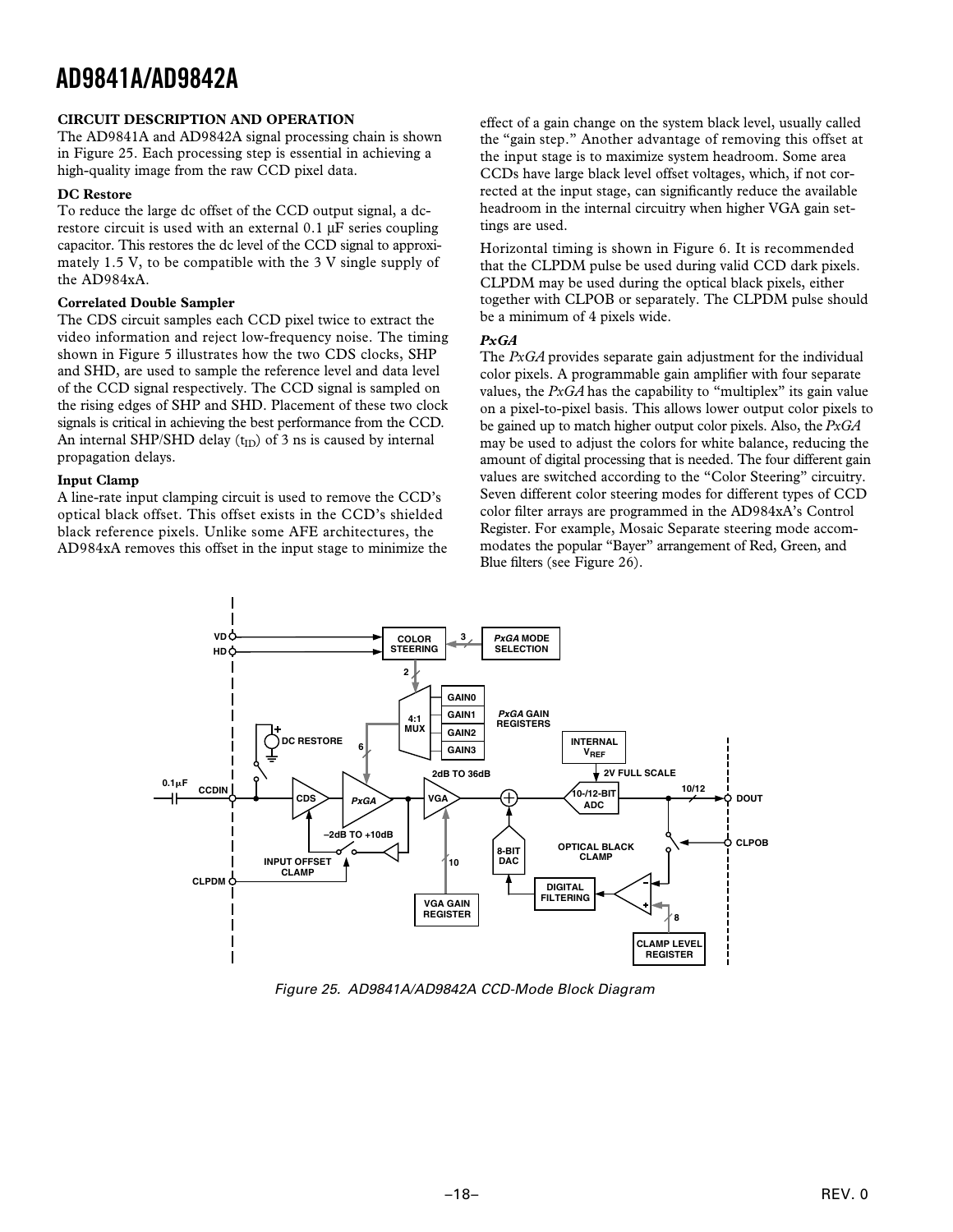### **CIRCUIT DESCRIPTION AND OPERATION**

The AD9841A and AD9842A signal processing chain is shown in Figure 25. Each processing step is essential in achieving a high-quality image from the raw CCD pixel data.

### **DC Restore**

To reduce the large dc offset of the CCD output signal, a dcrestore circuit is used with an external 0.1 µF series coupling capacitor. This restores the dc level of the CCD signal to approximately 1.5 V, to be compatible with the 3 V single supply of the AD984xA.

### **Correlated Double Sampler**

The CDS circuit samples each CCD pixel twice to extract the video information and reject low-frequency noise. The timing shown in Figure 5 illustrates how the two CDS clocks, SHP and SHD, are used to sample the reference level and data level of the CCD signal respectively. The CCD signal is sampled on the rising edges of SHP and SHD. Placement of these two clock signals is critical in achieving the best performance from the CCD. An internal SHP/SHD delay  $(t_{ID})$  of 3 ns is caused by internal propagation delays.

#### **Input Clamp**

A line-rate input clamping circuit is used to remove the CCD's optical black offset. This offset exists in the CCD's shielded black reference pixels. Unlike some AFE architectures, the AD984xA removes this offset in the input stage to minimize the effect of a gain change on the system black level, usually called the "gain step." Another advantage of removing this offset at the input stage is to maximize system headroom. Some area CCDs have large black level offset voltages, which, if not corrected at the input stage, can significantly reduce the available headroom in the internal circuitry when higher VGA gain settings are used.

Horizontal timing is shown in Figure 6. It is recommended that the CLPDM pulse be used during valid CCD dark pixels. CLPDM may be used during the optical black pixels, either together with CLPOB or separately. The CLPDM pulse should be a minimum of 4 pixels wide.

### *PxGA*

The *PxGA* provides separate gain adjustment for the individual color pixels. A programmable gain amplifier with four separate values, the  $PxGA$  has the capability to "multiplex" its gain value on a pixel-to-pixel basis. This allows lower output color pixels to be gained up to match higher output color pixels. Also, the *PxGA* may be used to adjust the colors for white balance, reducing the amount of digital processing that is needed. The four different gain values are switched according to the "Color Steering" circuitry. Seven different color steering modes for different types of CCD color filter arrays are programmed in the AD984xA's Control Register. For example, Mosaic Separate steering mode accommodates the popular "Bayer" arrangement of Red, Green, and Blue filters (see Figure 26).



Figure 25. AD9841A/AD9842A CCD-Mode Block Diagram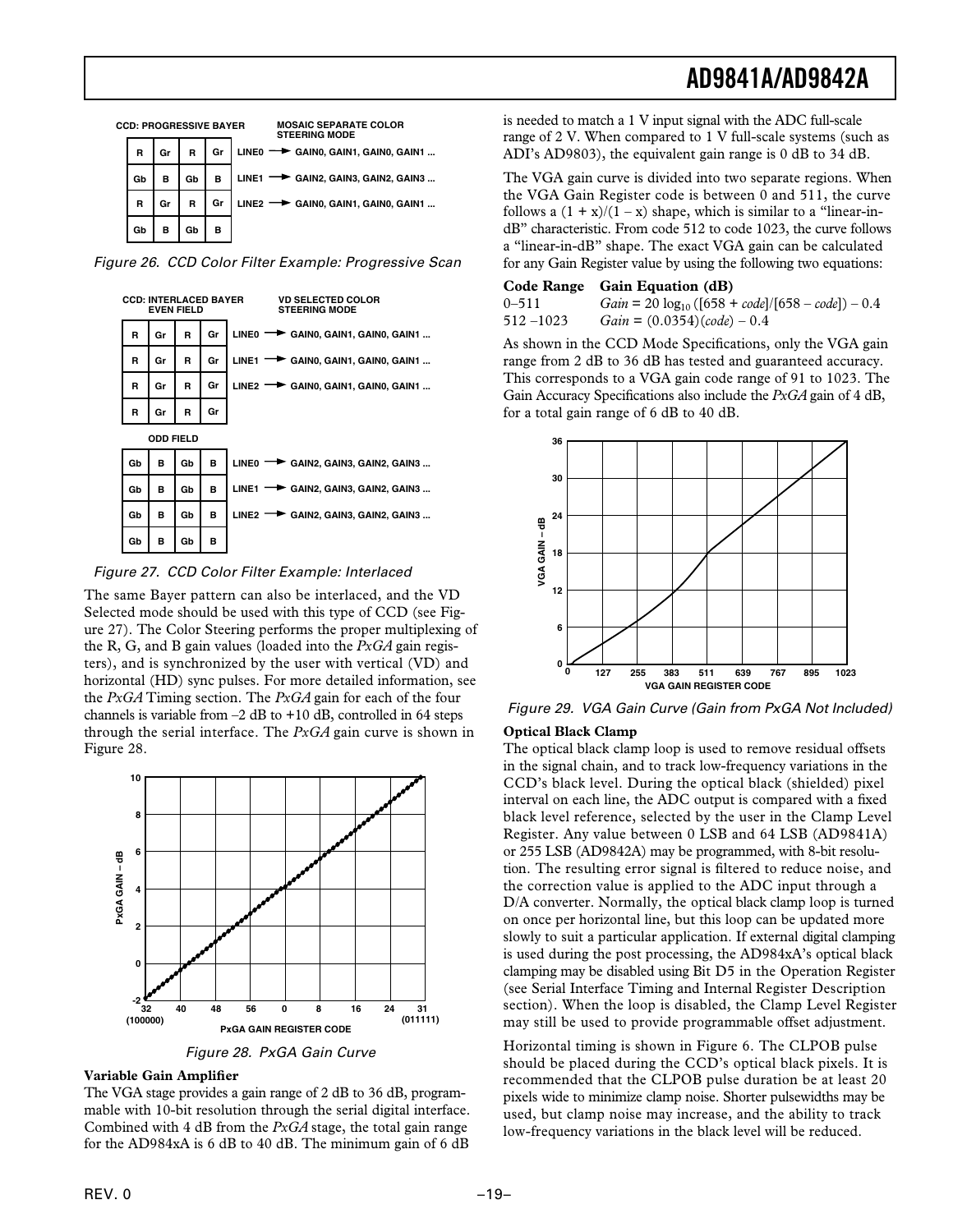

Figure 26. CCD Color Filter Example: Progressive Scan



Figure 27. CCD Color Filter Example: Interlaced

The same Bayer pattern can also be interlaced, and the VD Selected mode should be used with this type of CCD (see Figure 27). The Color Steering performs the proper multiplexing of the R, G, and B gain values (loaded into the *PxGA* gain registers), and is synchronized by the user with vertical (VD) and horizontal (HD) sync pulses. For more detailed information, see the *PxGA* Timing section. The *PxGA* gain for each of the four channels is variable from  $-2$  dB to  $+10$  dB, controlled in 64 steps through the serial interface. The *PxGA* gain curve is shown in Figure 28.



Figure 28. PxGA Gain Curve

### **Variable Gain Amplifier**

The VGA stage provides a gain range of 2 dB to 36 dB, programmable with 10-bit resolution through the serial digital interface. Combined with 4 dB from the *PxGA* stage, the total gain range for the AD984xA is 6 dB to 40 dB. The minimum gain of 6 dB is needed to match a 1 V input signal with the ADC full-scale range of 2 V. When compared to 1 V full-scale systems (such as ADI's AD9803), the equivalent gain range is 0 dB to 34 dB.

The VGA gain curve is divided into two separate regions. When the VGA Gain Register code is between 0 and 511, the curve follows a  $(1 + x)/(1 - x)$  shape, which is similar to a "linear-indB" characteristic. From code 512 to code 1023, the curve follows a "linear-in-dB" shape. The exact VGA gain can be calculated for any Gain Register value by using the following two equations:

|              | Code Range Gain Equation (dB)                          |
|--------------|--------------------------------------------------------|
| $0 - 511$    | $Gain = 20 log_{10} ([658 + code]/[658 - code]) - 0.4$ |
| $512 - 1023$ | $Gain = (0.0354)(code) - 0.4$                          |

As shown in the CCD Mode Specifications, only the VGA gain range from 2 dB to 36 dB has tested and guaranteed accuracy. This corresponds to a VGA gain code range of 91 to 1023. The Gain Accuracy Specifications also include the *PxGA* gain of 4 dB, for a total gain range of 6 dB to 40 dB.



Figure 29. VGA Gain Curve (Gain from PxGA Not Included)

### **Optical Black Clamp**

The optical black clamp loop is used to remove residual offsets in the signal chain, and to track low-frequency variations in the CCD's black level. During the optical black (shielded) pixel interval on each line, the ADC output is compared with a fixed black level reference, selected by the user in the Clamp Level Register. Any value between 0 LSB and 64 LSB (AD9841A) or 255 LSB (AD9842A) may be programmed, with 8-bit resolution. The resulting error signal is filtered to reduce noise, and the correction value is applied to the ADC input through a D/A converter. Normally, the optical black clamp loop is turned on once per horizontal line, but this loop can be updated more slowly to suit a particular application. If external digital clamping is used during the post processing, the AD984xA's optical black clamping may be disabled using Bit D5 in the Operation Register (see Serial Interface Timing and Internal Register Description section). When the loop is disabled, the Clamp Level Register may still be used to provide programmable offset adjustment.

Horizontal timing is shown in Figure 6. The CLPOB pulse should be placed during the CCD's optical black pixels. It is recommended that the CLPOB pulse duration be at least 20 pixels wide to minimize clamp noise. Shorter pulsewidths may be used, but clamp noise may increase, and the ability to track low-frequency variations in the black level will be reduced.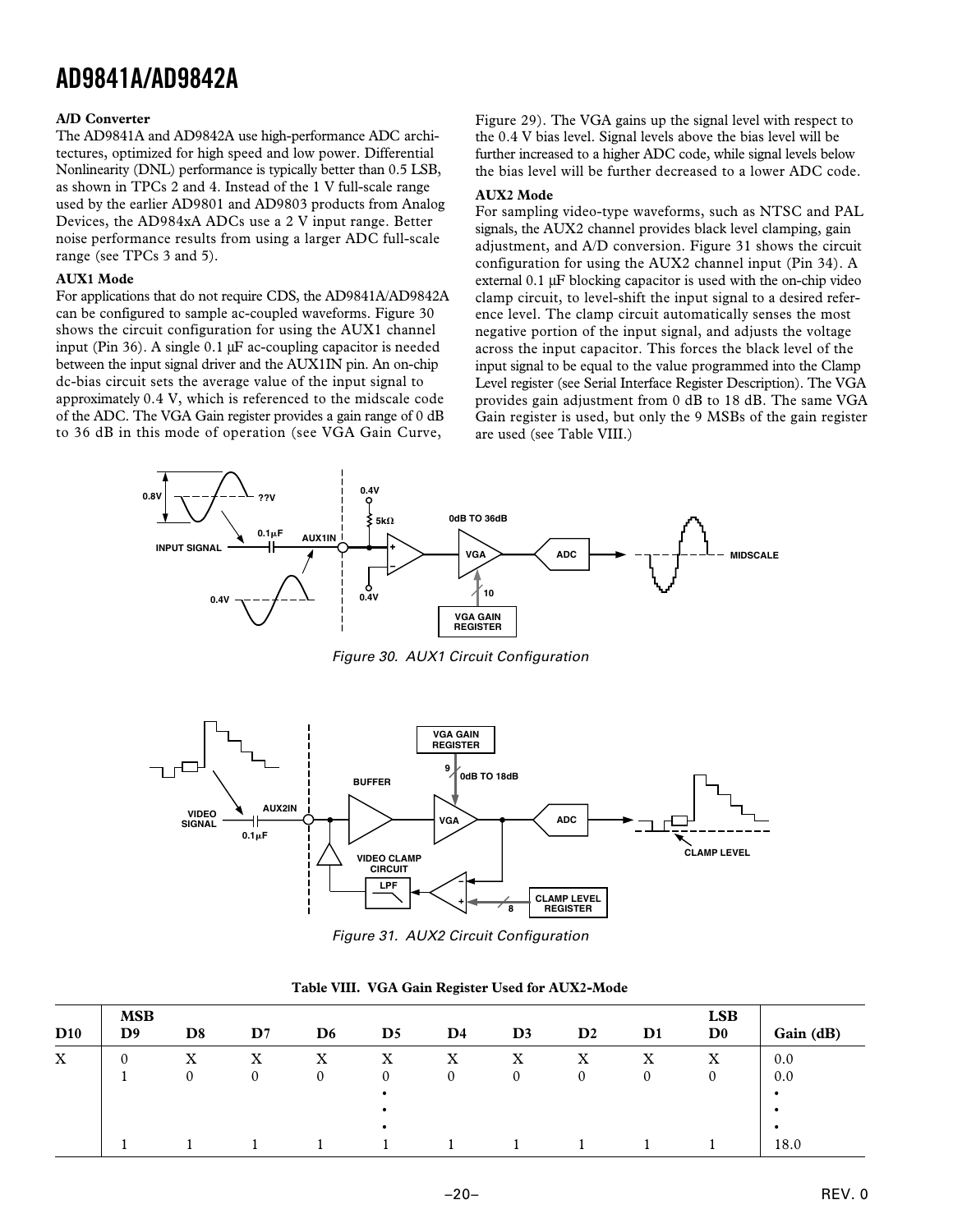#### **A/D Converter**

The AD9841A and AD9842A use high-performance ADC architectures, optimized for high speed and low power. Differential Nonlinearity (DNL) performance is typically better than 0.5 LSB, as shown in TPCs 2 and 4. Instead of the 1 V full-scale range used by the earlier AD9801 and AD9803 products from Analog Devices, the AD984xA ADCs use a 2 V input range. Better noise performance results from using a larger ADC full-scale range (see TPCs 3 and 5).

#### **AUX1 Mode**

For applications that do not require CDS, the AD9841A/AD9842A can be configured to sample ac-coupled waveforms. Figure 30 shows the circuit configuration for using the AUX1 channel input (Pin 36). A single 0.1 µF ac-coupling capacitor is needed between the input signal driver and the AUX1IN pin. An on-chip dc-bias circuit sets the average value of the input signal to approximately 0.4 V, which is referenced to the midscale code of the ADC. The VGA Gain register provides a gain range of 0 dB to 36 dB in this mode of operation (see VGA Gain Curve,

Figure 29). The VGA gains up the signal level with respect to the 0.4 V bias level. Signal levels above the bias level will be further increased to a higher ADC code, while signal levels below the bias level will be further decreased to a lower ADC code.

#### **AUX2 Mode**

For sampling video-type waveforms, such as NTSC and PAL signals, the AUX2 channel provides black level clamping, gain adjustment, and A/D conversion. Figure 31 shows the circuit configuration for using the AUX2 channel input (Pin 34). A external 0.1 µF blocking capacitor is used with the on-chip video clamp circuit, to level-shift the input signal to a desired reference level. The clamp circuit automatically senses the most negative portion of the input signal, and adjusts the voltage across the input capacitor. This forces the black level of the input signal to be equal to the value programmed into the Clamp Level register (see Serial Interface Register Description). The VGA provides gain adjustment from 0 dB to 18 dB. The same VGA Gain register is used, but only the 9 MSBs of the gain register are used (see Table VIII.)



Figure 30. AUX1 Circuit Configuration



Figure 31. AUX2 Circuit Configuration

| D10         | <b>MSB</b><br>D <sub>9</sub> | D <sub>8</sub> | $\mathbf{D}7$ | D <sub>6</sub> | $\mathbf{D}5$ | $\mathbf{D}4$ | D <sub>3</sub> | $\mathbf{D}2$ | $\mathbf{D}1$ | <b>LSB</b><br>$\mathbf{D}^{\mathbf{0}}$ | Gain (dB) |
|-------------|------------------------------|----------------|---------------|----------------|---------------|---------------|----------------|---------------|---------------|-----------------------------------------|-----------|
| $\mathbf X$ | 0                            | x              | x             | X              | X             | X             | X              | ٦z<br>A       | $\tau$<br>A   | X                                       | 0.0       |
|             |                              |                |               | 0              | 0             | 0             | $\theta$       |               |               |                                         | 0.0       |
|             |                              |                |               |                |               |               |                |               |               |                                         | ٠         |
|             |                              |                |               |                | ٠             |               |                |               |               |                                         | $\bullet$ |
|             |                              |                |               |                | ٠             |               |                |               |               |                                         |           |
|             |                              |                |               |                |               |               |                |               |               |                                         | 18.0      |

#### **Table VIII. VGA Gain Register Used for AUX2-Mode**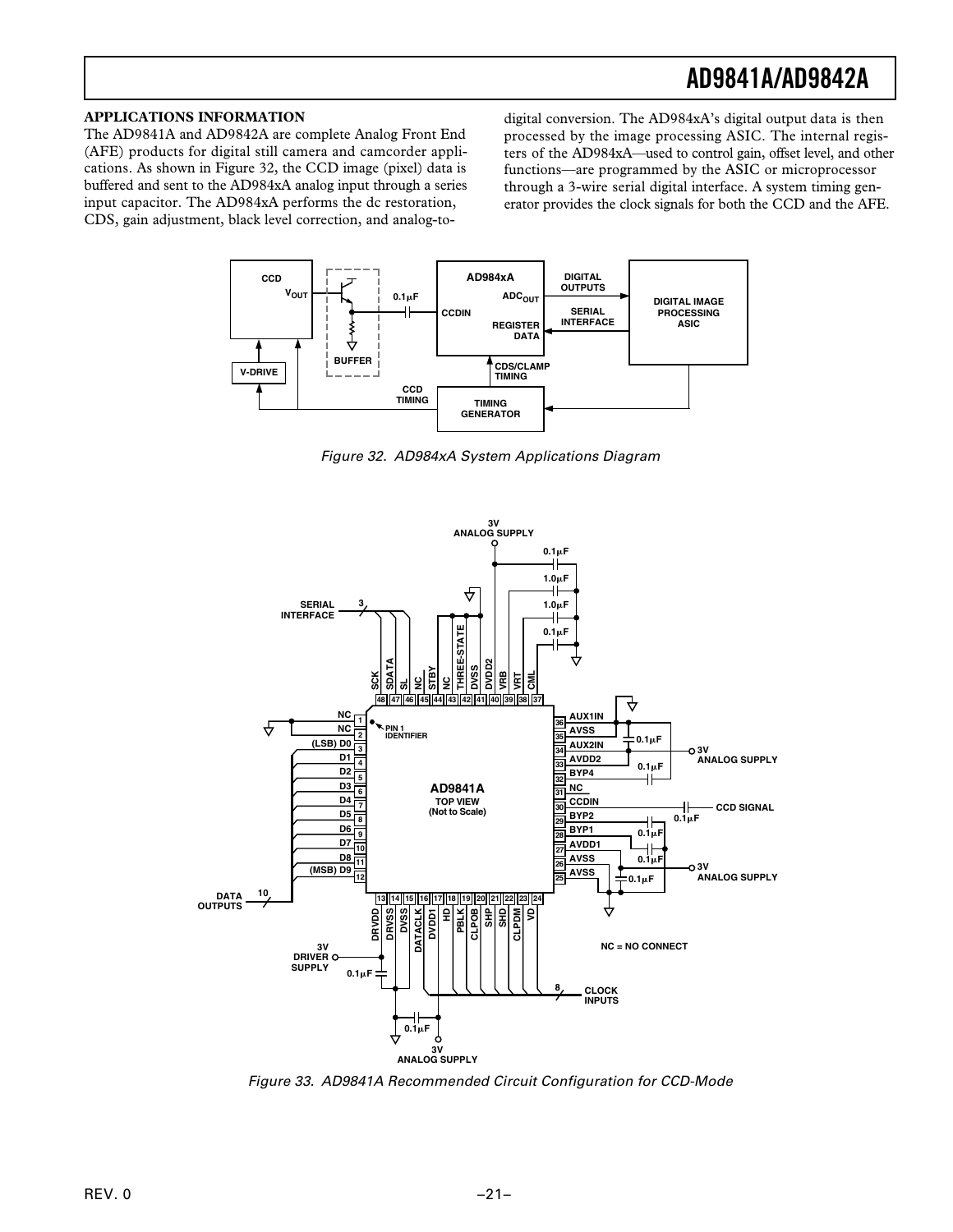### **APPLICATIONS INFORMATION**

The AD9841A and AD9842A are complete Analog Front End (AFE) products for digital still camera and camcorder applications. As shown in Figure 32, the CCD image (pixel) data is buffered and sent to the AD984xA analog input through a series input capacitor. The AD984xA performs the dc restoration, CDS, gain adjustment, black level correction, and analog-todigital conversion. The AD984xA's digital output data is then processed by the image processing ASIC. The internal registers of the AD984xA—used to control gain, offset level, and other functions—are programmed by the ASIC or microprocessor through a 3-wire serial digital interface. A system timing generator provides the clock signals for both the CCD and the AFE.



Figure 32. AD984xA System Applications Diagram



Figure 33. AD9841A Recommended Circuit Configuration for CCD-Mode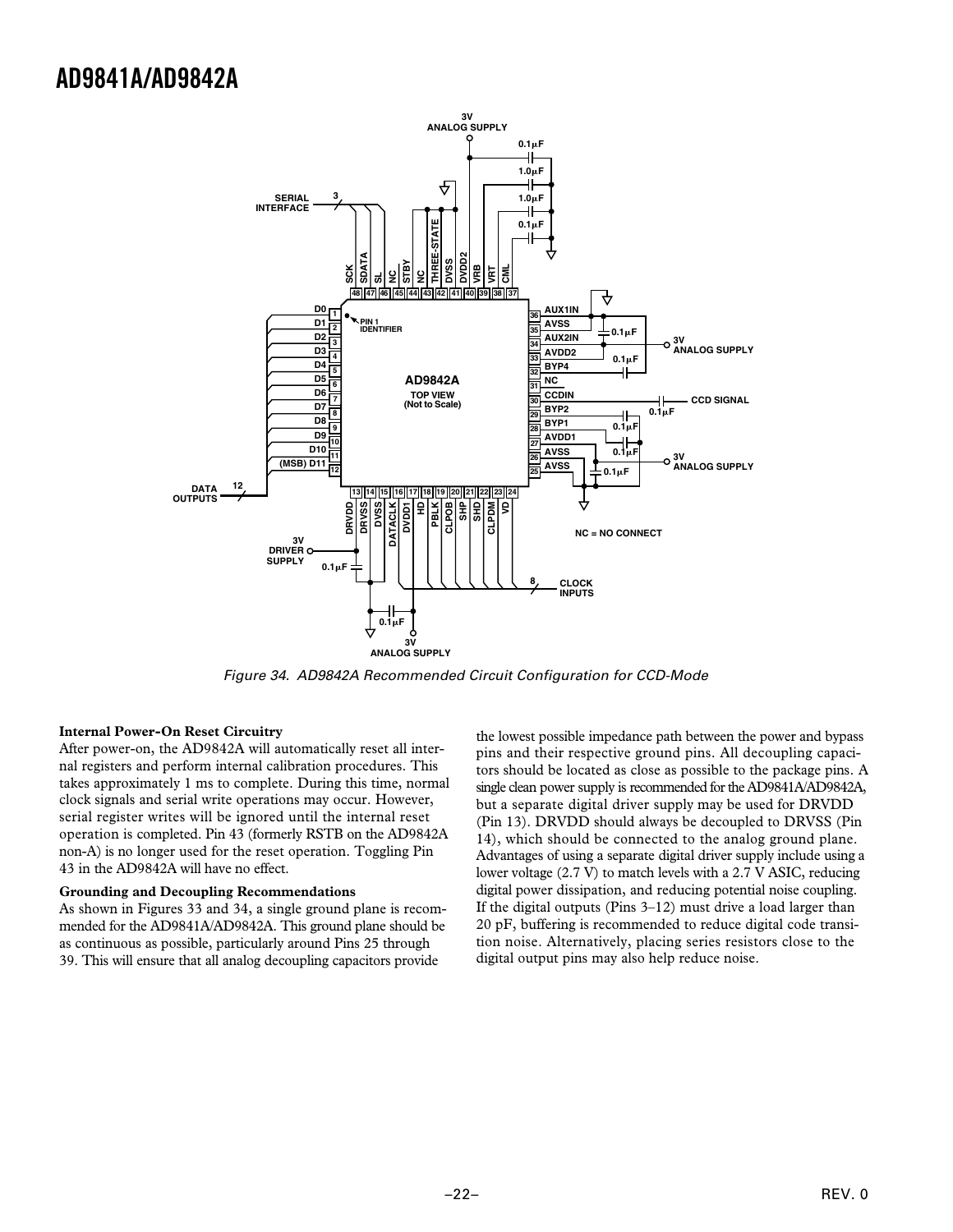

Figure 34. AD9842A Recommended Circuit Configuration for CCD-Mode

#### **Internal Power-On Reset Circuitry**

After power-on, the AD9842A will automatically reset all internal registers and perform internal calibration procedures. This takes approximately 1 ms to complete. During this time, normal clock signals and serial write operations may occur. However, serial register writes will be ignored until the internal reset operation is completed. Pin 43 (formerly RSTB on the AD9842A non-A) is no longer used for the reset operation. Toggling Pin 43 in the AD9842A will have no effect.

#### **Grounding and Decoupling Recommendations**

As shown in Figures 33 and 34, a single ground plane is recommended for the AD9841A/AD9842A. This ground plane should be as continuous as possible, particularly around Pins 25 through 39. This will ensure that all analog decoupling capacitors provide

the lowest possible impedance path between the power and bypass pins and their respective ground pins. All decoupling capacitors should be located as close as possible to the package pins. A single clean power supply is recommended for the AD9841A/AD9842A, but a separate digital driver supply may be used for DRVDD (Pin 13). DRVDD should always be decoupled to DRVSS (Pin 14), which should be connected to the analog ground plane. Advantages of using a separate digital driver supply include using a lower voltage (2.7 V) to match levels with a 2.7 V ASIC, reducing digital power dissipation, and reducing potential noise coupling. If the digital outputs (Pins 3–12) must drive a load larger than 20 pF, buffering is recommended to reduce digital code transition noise. Alternatively, placing series resistors close to the digital output pins may also help reduce noise.